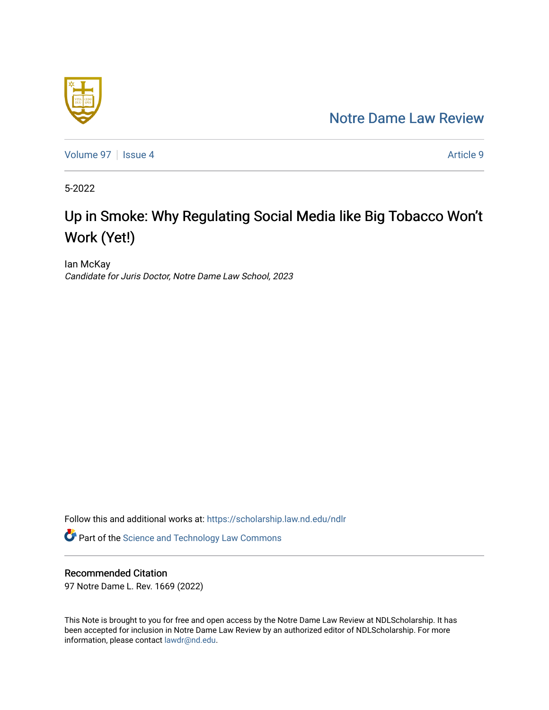# [Notre Dame Law Review](https://scholarship.law.nd.edu/ndlr)



[Volume 97](https://scholarship.law.nd.edu/ndlr/vol97) | [Issue 4](https://scholarship.law.nd.edu/ndlr/vol97/iss4) Article 9

5-2022

# Up in Smoke: Why Regulating Social Media like Big Tobacco Won't Work (Yet!)

<span id="page-0-0"></span>Ian McKay Candidate for Juris Doctor, Notre Dame Law School, 2023

<span id="page-0-2"></span><span id="page-0-1"></span>Follow this and additional works at: [https://scholarship.law.nd.edu/ndlr](https://scholarship.law.nd.edu/ndlr?utm_source=scholarship.law.nd.edu%2Fndlr%2Fvol97%2Fiss4%2F9&utm_medium=PDF&utm_campaign=PDFCoverPages)

<span id="page-0-4"></span><span id="page-0-3"></span>**Part of the [Science and Technology Law Commons](https://network.bepress.com/hgg/discipline/875?utm_source=scholarship.law.nd.edu%2Fndlr%2Fvol97%2Fiss4%2F9&utm_medium=PDF&utm_campaign=PDFCoverPages)** 

# Recommended Citation

97 Notre Dame L. Rev. 1669 (2022)

This Note is brought to you for free and open access by the Notre Dame Law Review at NDLScholarship. It has been accepted for inclusion in Notre Dame Law Review by an authorized editor of NDLScholarship. For more information, please contact [lawdr@nd.edu.](mailto:lawdr@nd.edu)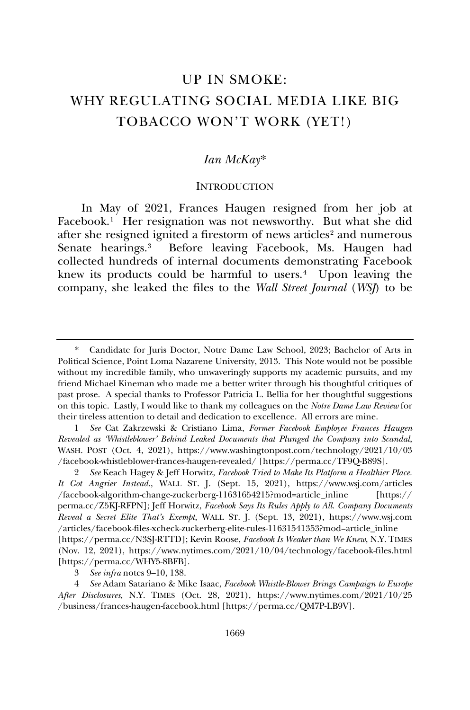# UP IN SMOKE: WHY REGULATING SOCIAL MEDIA LIKE BIG TOBACCO WON'T WORK (YET!)

# *Ian McKay*[\\*](#page-0-0)

### **INTRODUCTION**

In May of 2021, Frances Haugen resigned from her job at Facebook.<sup>[1](#page-0-1)</sup> Her resignation was not newsworthy. But what she did after she resigned ignited a firestorm of news articles<sup>[2](#page-0-2)</sup> and numerous Senate hearings.[3](#page-0-3) Before leaving Facebook, Ms. Haugen had collected hundreds of internal documents demonstrating Facebook knew its products could be harmful to users.<sup>4</sup> Upon leaving the company, she leaked the files to the *Wall Street Journal* (*WSJ*) to be

3 *See infra* notes 9–10, 138.

Candidate for Juris Doctor, Notre Dame Law School, 2023; Bachelor of Arts in Political Science, Point Loma Nazarene University, 2013. This Note would not be possible without my incredible family, who unwaveringly supports my academic pursuits, and my friend Michael Kineman who made me a better writer through his thoughtful critiques of past prose. A special thanks to Professor Patricia L. Bellia for her thoughtful suggestions on this topic. Lastly, I would like to thank my colleagues on the *Notre Dame Law Review* for their tireless attention to detail and dedication to excellence. All errors are mine.

<span id="page-1-0"></span><sup>1</sup> *See* Cat Zakrzewski & Cristiano Lima, *Former Facebook Employee Frances Haugen Revealed as 'Whistleblower' Behind Leaked Documents that Plunged the Company into Scandal*, WASH. POST (Oct. 4, 2021), https://www.washingtonpost.com/technology/2021/10/03 /facebook-whistleblower-frances-haugen-revealed/ [https://perma.cc/TF9Q-B89S].

<span id="page-1-2"></span><span id="page-1-1"></span><sup>2</sup> *See* Keach Hagey & Jeff Horwitz, *Facebook Tried to Make Its Platform a Healthier Place. It Got Angrier Instead.*, WALL ST. J. (Sept. 15, 2021), https://www.wsj.com/articles /facebook-algorithm-change-zuckerberg-11631654215?mod=article\_inline [https:// perma.cc/Z5KJ-RFPN]; Jeff Horwitz, *Facebook Says Its Rules Apply to All. Company Documents Reveal a Secret Elite That's Exempt*, WALL ST. J. (Sept. 13, 2021), https://www.wsj.com /articles/facebook-files-xcheck-zuckerberg-elite-rules-11631541353?mod=article\_inline [https://perma.cc/N3SJ-RTTD]; Kevin Roose, *Facebook Is Weaker than We Knew*, N.Y. TIMES (Nov. 12, 2021), https://www.nytimes.com/2021/10/04/technology/facebook-files.html [https://perma.cc/WHY5-8BFB].

<span id="page-1-4"></span><span id="page-1-3"></span><sup>4</sup> *See* Adam Satariano & Mike Isaac, *Facebook Whistle-Blower Brings Campaign to Europe After Disclosures*, N.Y. TIMES (Oct. 28, 2021), https://www.nytimes.com/2021/10/25 /business/frances-haugen-facebook.html [https://perma.cc/QM7P-LB9V].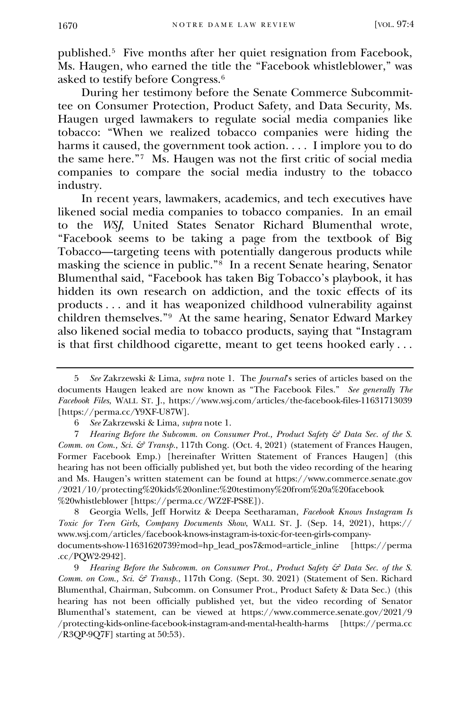published.[5](#page-1-0) Five months after her quiet resignation from Facebook, Ms. Haugen, who earned the title the "Facebook whistleblower," was asked to testify before Congress[.6](#page-1-1)

During her testimony before the Senate Commerce Subcommittee on Consumer Protection, Product Safety, and Data Security, Ms. Haugen urged lawmakers to regulate social media companies like tobacco: "When we realized tobacco companies were hiding the harms it caused, the government took action. . . . I implore you to do the same here."[7](#page-1-2) Ms. Haugen was not the first critic of social media companies to compare the social media industry to the tobacco industry.

In recent years, lawmakers, academics, and tech executives have likened social media companies to tobacco companies. In an email to the *WSJ*, United States Senator Richard Blumenthal wrote, "Facebook seems to be taking a page from the textbook of Big Tobacco—targeting teens with potentially dangerous products while masking the science in public."[8](#page-1-3) In a recent Senate hearing, Senator Blumenthal said, "Facebook has taken Big Tobacco's playbook, it has hidden its own research on addiction, and the toxic effects of its products . . . and it has weaponized childhood vulnerability against children themselves."[9](#page-1-4) At the same hearing, Senator Edward Markey also likened social media to tobacco products, saying that "Instagram is that first childhood cigarette, meant to get teens hooked early . . .

<span id="page-2-0"></span>8 Georgia Wells, Jeff Horwitz & Deepa Seetharaman, *Facebook Knows Instagram Is Toxic for Teen Girls, Company Documents Show*, WALL ST. J. (Sep. 14, 2021), https:// www.wsj.com/articles/facebook-knows-instagram-is-toxic-for-teen-girls-companydocuments-show-11631620739?mod=hp\_lead\_pos7&mod=article\_inline [https://perma .cc/PQW2-2942].

<span id="page-2-4"></span><span id="page-2-3"></span><span id="page-2-2"></span><span id="page-2-1"></span>9 *Hearing Before the Subcomm. on Consumer Prot., Product Safety & Data Sec. of the S. Comm. on Com., Sci. & Transp.*, 117th Cong. (Sept. 30. 2021) (Statement of Sen. Richard Blumenthal, Chairman, Subcomm. on Consumer Prot., Product Safety & Data Sec.) (this hearing has not been officially published yet, but the video recording of Senator Blumenthal's statement, can be viewed at https://www.commerce.senate.gov/2021/9 /protecting-kids-online-facebook-instagram-and-mental-health-harms [https://perma.cc /R3QP-9Q7F] starting at 50:53).

<sup>5</sup> *See* Zakrzewski & Lima, *supra* note 1. The *Journal*'s series of articles based on the documents Haugen leaked are now known as "The Facebook Files." *See generally The Facebook Files*, WALL ST. J., https://www.wsj.com/articles/the-facebook-files-11631713039 [https://perma.cc/Y9XF-U87W].

<sup>6</sup> *See* Zakrzewski & Lima, *supra* note 1.

<sup>7</sup> *Hearing Before the Subcomm. on Consumer Prot., Product Safety & Data Sec. of the S. Comm. on Com., Sci. & Transp.*, 117th Cong. (Oct. 4, 2021) (statement of Frances Haugen, Former Facebook Emp.) [hereinafter Written Statement of Frances Haugen] (this hearing has not been officially published yet, but both the video recording of the hearing and Ms. Haugen's written statement can be found at https://www.commerce.senate.gov /2021/10/protecting%20kids%20online:%20testimony%20from%20a%20facebook %20whistleblower [https://perma.cc/WZ2F-PS8E]).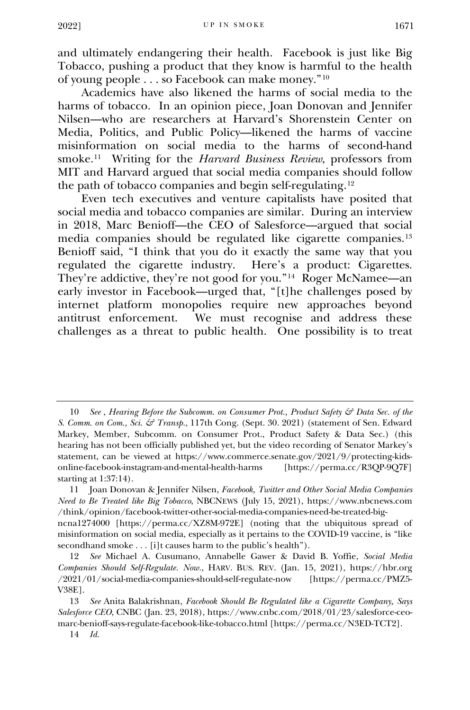and ultimately endangering their health. Facebook is just like Big Tobacco, pushing a product that they know is harmful to the health of young people . . . so Facebook can make money."[10](#page-2-0)

Academics have also likened the harms of social media to the harms of tobacco. In an opinion piece, Joan Donovan and Jennifer Nilsen—who are researchers at Harvard's Shorenstein Center on Media, Politics, and Public Policy—likened the harms of vaccine misinformation on social media to the harms of second-hand smoke.[11](#page-2-1) Writing for the *Harvard Business Review*, professors from MIT and Harvard argued that social media companies should follow the path of tobacco companies and begin self-regulating.[12](#page-2-2)

Even tech executives and venture capitalists have posited that social media and tobacco companies are similar. During an interview in 2018, Marc Benioff—the CEO of Salesforce—argued that social media companies should be regulated like cigarette companies.[13](#page-2-3) Benioff said, "I think that you do it exactly the same way that you regulated the cigarette industry. Here's a product: Cigarettes. They're addictive, they're not good for you."[14](#page-2-4) Roger McNamee—an early investor in Facebook—urged that, "[t]he challenges posed by internet platform monopolies require new approaches beyond antitrust enforcement. We must recognise and address these challenges as a threat to public health. One possibility is to treat

<sup>10</sup> *See* , *Hearing Before the Subcomm. on Consumer Prot., Product Safety & Data Sec. of the S. Comm. on Com., Sci. & Transp.*, 117th Cong. (Sept. 30. 2021) (statement of Sen. Edward Markey, Member, Subcomm. on Consumer Prot., Product Safety & Data Sec.) (this hearing has not been officially published yet, but the video recording of Senator Markey's statement, can be viewed at https://www.commerce.senate.gov/2021/9/protecting-kidsonline-facebook-instagram-and-mental-health-harms [https://perma.cc/R3QP-9Q7F] starting at 1:37:14).

<sup>11</sup> Joan Donovan & Jennifer Nilsen, *Facebook, Twitter and Other Social Media Companies Need to Be Treated like Big Tobacco*, NBCNEWS (July 15, 2021), https://www.nbcnews.com /think/opinion/facebook-twitter-other-social-media-companies-need-be-treated-big-

ncna1274000 [https://perma.cc/XZ8M-972E] (noting that the ubiquitous spread of misinformation on social media, especially as it pertains to the COVID-19 vaccine, is "like secondhand smoke . . . [i]t causes harm to the public's health").

<sup>12</sup> *See* Michael A. Cusumano, Annabelle Gawer & David B. Yoffie, *Social Media Companies Should Self-Regulate. Now.*, HARV. BUS. REV. (Jan. 15, 2021), https://hbr.org /2021/01/social-media-companies-should-self-regulate-now [https://perma.cc/PMZ5- V38E].

<span id="page-3-2"></span><span id="page-3-1"></span><span id="page-3-0"></span><sup>13</sup> *See* Anita Balakrishnan, *Facebook Should Be Regulated like a Cigarette Company, Says Salesforce CEO*, CNBC (Jan. 23, 2018), https://www.cnbc.com/2018/01/23/salesforce-ceomarc-benioff-says-regulate-facebook-like-tobacco.html [https://perma.cc/N3ED-TCT2].

<sup>14</sup> *Id.*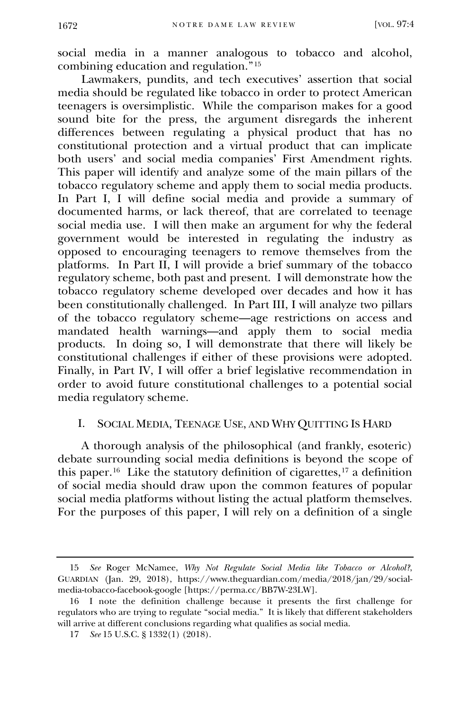social media in a manner analogous to tobacco and alcohol, combining education and regulation."[15](#page-3-0)

Lawmakers, pundits, and tech executives' assertion that social media should be regulated like tobacco in order to protect American teenagers is oversimplistic. While the comparison makes for a good sound bite for the press, the argument disregards the inherent differences between regulating a physical product that has no constitutional protection and a virtual product that can implicate both users' and social media companies' First Amendment rights. This paper will identify and analyze some of the main pillars of the tobacco regulatory scheme and apply them to social media products. In Part I, I will define social media and provide a summary of documented harms, or lack thereof, that are correlated to teenage social media use. I will then make an argument for why the federal government would be interested in regulating the industry as opposed to encouraging teenagers to remove themselves from the platforms. In Part II, I will provide a brief summary of the tobacco regulatory scheme, both past and present. I will demonstrate how the tobacco regulatory scheme developed over decades and how it has been constitutionally challenged. In Part III, I will analyze two pillars of the tobacco regulatory scheme—age restrictions on access and mandated health warnings—and apply them to social media products. In doing so, I will demonstrate that there will likely be constitutional challenges if either of these provisions were adopted. Finally, in Part IV, I will offer a brief legislative recommendation in order to avoid future constitutional challenges to a potential social media regulatory scheme.

## I. SOCIAL MEDIA, TEENAGE USE, AND WHY QUITTING IS HARD

<span id="page-4-2"></span><span id="page-4-1"></span><span id="page-4-0"></span>A thorough analysis of the philosophical (and frankly, esoteric) debate surrounding social media definitions is beyond the scope of this paper.<sup>[16](#page-3-1)</sup> Like the statutory definition of cigarettes,<sup>[17](#page-3-2)</sup> a definition of social media should draw upon the common features of popular social media platforms without listing the actual platform themselves. For the purposes of this paper, I will rely on a definition of a single

<span id="page-4-4"></span><span id="page-4-3"></span><sup>15</sup> *See* Roger McNamee, *Why Not Regulate Social Media like Tobacco or Alcohol?*, GUARDIAN (Jan. 29, 2018), https://www.theguardian.com/media/2018/jan/29/socialmedia-tobacco-facebook-google [https://perma.cc/BB7W-23LW].

<span id="page-4-6"></span><span id="page-4-5"></span><sup>16</sup> I note the definition challenge because it presents the first challenge for regulators who are trying to regulate "social media." It is likely that different stakeholders will arrive at different conclusions regarding what qualifies as social media.

<sup>17</sup> *See* 15 U.S.C. § 1332(1) (2018).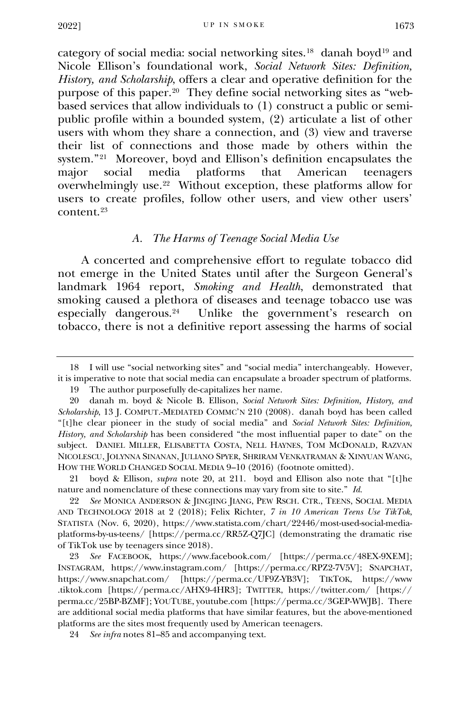$2022$ ] UP IN SMOKE 1673

category of social media: social networking sites.[18](#page-4-0) danah boyd[19](#page-4-1) and Nicole Ellison's foundational work, *Social Network Sites: Definition, History, and Scholarship*, offers a clear and operative definition for the purpose of this paper.[20](#page-4-2) They define social networking sites as "webbased services that allow individuals to (1) construct a public or semipublic profile within a bounded system, (2) articulate a list of other users with whom they share a connection, and (3) view and traverse their list of connections and those made by others within the system."[21](#page-4-3) Moreover, boyd and Ellison's definition encapsulates the major social media platforms that American teenagers overwhelmingly use.[22](#page-4-4) Without exception, these platforms allow for users to create profiles, follow other users, and view other users' content.[23](#page-4-5)

# *A. The Harms of Teenage Social Media Use*

A concerted and comprehensive effort to regulate tobacco did not emerge in the United States until after the Surgeon General's landmark 1964 report, *Smoking and Health*, demonstrated that smoking caused a plethora of diseases and teenage tobacco use was especially dangerous.[24](#page-4-6) Unlike the government's research on tobacco, there is not a definitive report assessing the harms of social

<sup>18</sup> I will use "social networking sites" and "social media" interchangeably. However, it is imperative to note that social media can encapsulate a broader spectrum of platforms.

<sup>19</sup> The author purposefully de-capitalizes her name.

<span id="page-5-0"></span><sup>20</sup> danah m. boyd & Nicole B. Ellison, *Social Network Sites: Definition, History, and Scholarship*, 13 J. COMPUT.-MEDIATED COMMC'N 210 (2008). danah boyd has been called "[t]he clear pioneer in the study of social media" and *Social Network Sites: Definition, History, and Scholarship* has been considered "the most influential paper to date" on the subject. DANIEL MILLER, ELISABETTA COSTA, NELL HAYNES, TOM MCDONALD, RAZVAN NICOLESCU, JOLYNNA SINANAN, JULIANO SPYER, SHRIRAM VENKATRAMAN & XINYUAN WANG, HOW THE WORLD CHANGED SOCIAL MEDIA 9–10 (2016) (footnote omitted).

<span id="page-5-1"></span><sup>21</sup> boyd & Ellison, *supra* note 20, at 211. boyd and Ellison also note that "[t]he nature and nomenclature of these connections may vary from site to site." *Id.*

<sup>22</sup> *See* MONICA ANDERSON & JINGJING JIANG, PEW RSCH. CTR., TEENS, SOCIAL MEDIA AND TECHNOLOGY 2018 at 2 (2018); Felix Richter, *7 in 10 American Teens Use TikTok*, STATISTA (Nov. 6, 2020), https://www.statista.com/chart/22446/most-used-social-mediaplatforms-by-us-teens/ [https://perma.cc/RR5Z-Q7JC] (demonstrating the dramatic rise of TikTok use by teenagers since 2018).

<sup>23</sup> *See* FACEBOOK, https://www.facebook.com/ [https://perma.cc/48EX-9XEM]; INSTAGRAM, https://www.instagram.com/ [https://perma.cc/RPZ2-7V5V]; SNAPCHAT, https://www.snapchat.com/ [https://perma.cc/UF9Z-YB3V]; TIKTOK, https://www .tiktok.com [https://perma.cc/AHX9-4HR3]; TWITTER, https://twitter.com/ [https:// perma.cc/25BP-BZMF]; YOUTUBE, youtube.com [https://perma.cc/3GEP-WWJB]. There are additional social media platforms that have similar features, but the above-mentioned platforms are the sites most frequently used by American teenagers.

<span id="page-5-4"></span><span id="page-5-3"></span><span id="page-5-2"></span><sup>24</sup> *See infra* notes 81–85 and accompanying text.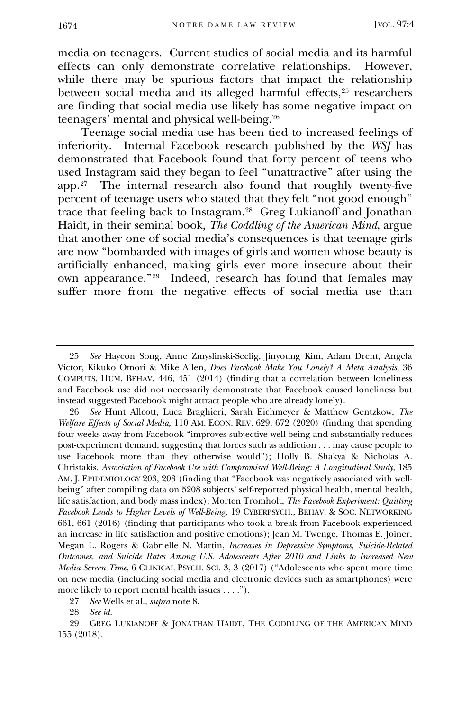media on teenagers. Current studies of social media and its harmful effects can only demonstrate correlative relationships. However, while there may be spurious factors that impact the relationship between social media and its alleged harmful effects,<sup>[25](#page-5-0)</sup> researchers are finding that social media use likely has some negative impact on teenagers' mental and physical well-being.[26](#page-5-1)

Teenage social media use has been tied to increased feelings of inferiority. Internal Facebook research published by the *WSJ* has demonstrated that Facebook found that forty percent of teens who used Instagram said they began to feel "unattractive" after using the app.[27](#page-5-2) The internal research also found that roughly twenty-five percent of teenage users who stated that they felt "not good enough" trace that feeling back to Instagram.[28](#page-5-3) Greg Lukianoff and Jonathan Haidt, in their seminal book, *The Coddling of the American Mind*, argue that another one of social media's consequences is that teenage girls are now "bombarded with images of girls and women whose beauty is artificially enhanced, making girls ever more insecure about their own appearance."[29](#page-5-4) Indeed, research has found that females may suffer more from the negative effects of social media use than

27 *See* Wells et al., *supra* note 8.

28 *See id.*

<sup>25</sup> *See* Hayeon Song, Anne Zmyslinski-Seelig, Jinyoung Kim, Adam Drent, Angela Victor, Kikuko Omori & Mike Allen, *Does Facebook Make You Lonely? A Meta Analysis*, 36 COMPUTS. HUM. BEHAV. 446, 451 (2014) (finding that a correlation between loneliness and Facebook use did not necessarily demonstrate that Facebook caused loneliness but instead suggested Facebook might attract people who are already lonely).

<span id="page-6-0"></span><sup>26</sup> *See* Hunt Allcott, Luca Braghieri, Sarah Eichmeyer & Matthew Gentzkow, *The Welfare Effects of Social Media,* 110 AM. ECON. REV. 629, 672 (2020) (finding that spending four weeks away from Facebook "improves subjective well-being and substantially reduces post-experiment demand, suggesting that forces such as addiction . . . may cause people to use Facebook more than they otherwise would"); Holly B. Shakya & Nicholas A. Christakis, *Association of Facebook Use with Compromised Well-Being: A Longitudinal Study*, 185 AM. J. EPIDEMIOLOGY 203, 203 (finding that "Facebook was negatively associated with wellbeing" after compiling data on 5208 subjects' self-reported physical health, mental health, life satisfaction, and body mass index); Morten Tromholt, *The Facebook Experiment: Quitting Facebook Leads to Higher Levels of Well-Being*, 19 CYBERPSYCH., BEHAV. & SOC. NETWORKING 661, 661 (2016) (finding that participants who took a break from Facebook experienced an increase in life satisfaction and positive emotions); Jean M. Twenge, Thomas E. Joiner, Megan L. Rogers & Gabrielle N. Martin, *Increases in Depressive Symptoms, Suicide-Related Outcomes, and Suicide Rates Among U.S. Adolescents After 2010 and Links to Increased New Media Screen Time*, 6 CLINICAL PSYCH. SCI. 3, 3 (2017) ("Adolescents who spent more time on new media (including social media and electronic devices such as smartphones) were more likely to report mental health issues . . . .").

<span id="page-6-6"></span><span id="page-6-5"></span><span id="page-6-4"></span><span id="page-6-3"></span><span id="page-6-2"></span><span id="page-6-1"></span><sup>29</sup> GREG LUKIANOFF & JONATHAN HAIDT, THE CODDLING OF THE AMERICAN MIND 155 (2018).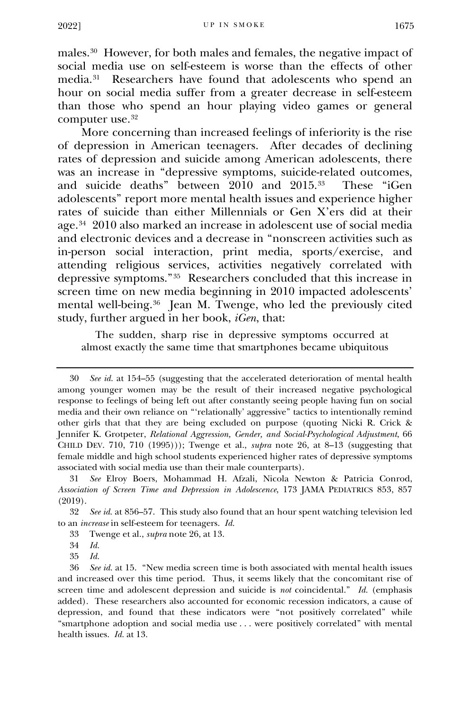males.[30](#page-6-0) However, for both males and females, the negative impact of social media use on self-esteem is worse than the effects of other media.[31](#page-6-1) Researchers have found that adolescents who spend an hour on social media suffer from a greater decrease in self-esteem than those who spend an hour playing video games or general computer use.<sup>[32](#page-6-2)</sup>

More concerning than increased feelings of inferiority is the rise of depression in American teenagers. After decades of declining rates of depression and suicide among American adolescents, there was an increase in "depressive symptoms, suicide-related outcomes, and suicide deaths" between 2010 and 2015.[33](#page-6-3) These "iGen adolescents" report more mental health issues and experience higher rates of suicide than either Millennials or Gen X'ers did at their age.[34](#page-6-4) 2010 also marked an increase in adolescent use of social media and electronic devices and a decrease in "nonscreen activities such as in-person social interaction, print media, sports/exercise, and attending religious services, activities negatively correlated with depressive symptoms."[35](#page-6-5) Researchers concluded that this increase in screen time on new media beginning in 2010 impacted adolescents' mental well-being.<sup>36</sup> Jean M. Twenge, who led the previously cited study, further argued in her book, *iGen*, that:

 The sudden, sharp rise in depressive symptoms occurred at almost exactly the same time that smartphones became ubiquitous

<sup>30</sup> *See id.* at 154–55 (suggesting that the accelerated deterioration of mental health among younger women may be the result of their increased negative psychological response to feelings of being left out after constantly seeing people having fun on social media and their own reliance on "'relationally' aggressive" tactics to intentionally remind other girls that that they are being excluded on purpose (quoting Nicki R. Crick & Jennifer K. Grotpeter, *Relational Aggression, Gender, and Social-Psychological Adjustment*, 66 CHILD DEV. 710, 710 (1995))); Twenge et al., *supra* note 26, at 8–13 (suggesting that female middle and high school students experienced higher rates of depressive symptoms associated with social media use than their male counterparts).

<span id="page-7-1"></span><span id="page-7-0"></span><sup>31</sup> *See* Elroy Boers, Mohammad H. Afzali, Nicola Newton & Patricia Conrod, *Association of Screen Time and Depression in Adolescence*, 173 JAMA PEDIATRICS 853, 857 (2019).

<span id="page-7-2"></span><sup>32</sup> *See id.* at 856–57. This study also found that an hour spent watching television led to an *increase* in self-esteem for teenagers. *Id.*

<sup>33</sup> Twenge et al., *supra* note 26, at 13.

<sup>34</sup> *Id.*

<sup>35</sup> *Id.*

<span id="page-7-5"></span><span id="page-7-4"></span><span id="page-7-3"></span><sup>36</sup> *See id.* at 15. "New media screen time is both associated with mental health issues and increased over this time period. Thus, it seems likely that the concomitant rise of screen time and adolescent depression and suicide is *not* coincidental." *Id.* (emphasis added). These researchers also accounted for economic recession indicators, a cause of depression, and found that these indicators were "not positively correlated" while "smartphone adoption and social media use . . . were positively correlated" with mental health issues. *Id.* at 13.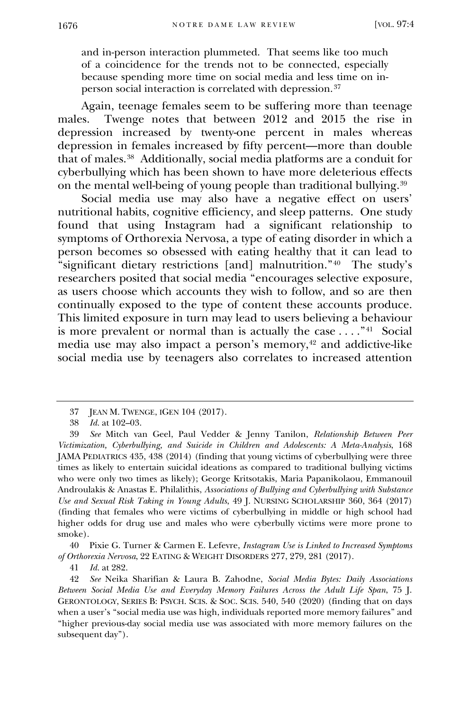and in-person interaction plummeted. That seems like too much of a coincidence for the trends not to be connected, especially because spending more time on social media and less time on inperson social interaction is correlated with depression.[37](#page-7-0)

Again, teenage females seem to be suffering more than teenage males. Twenge notes that between 2012 and 2015 the rise in depression increased by twenty-one percent in males whereas depression in females increased by fifty percent—more than double that of males.[38](#page-7-1) Additionally, social media platforms are a conduit for cyberbullying which has been shown to have more deleterious effects on the mental well-being of young people than traditional bullying.[39](#page-7-2)

Social media use may also have a negative effect on users' nutritional habits, cognitive efficiency, and sleep patterns. One study found that using Instagram had a significant relationship to symptoms of Orthorexia Nervosa, a type of eating disorder in which a person becomes so obsessed with eating healthy that it can lead to "significant dietary restrictions [and] malnutrition."[40](#page-7-3) The study's researchers posited that social media "encourages selective exposure, as users choose which accounts they wish to follow, and so are then continually exposed to the type of content these accounts produce. This limited exposure in turn may lead to users believing a behaviour is more prevalent or normal than is actually the case . . . ."[41](#page-7-4) Social media use may also impact a person's memory,<sup>[42](#page-7-5)</sup> and addictive-like social media use by teenagers also correlates to increased attention

<span id="page-8-1"></span>40 Pixie G. Turner & Carmen E. Lefevre, *Instagram Use is Linked to Increased Symptoms of Orthorexia Nervosa*, 22 EATING & WEIGHT DISORDERS 277, 279, 281 (2017).

41 *Id.* at 282.

<sup>37</sup> JEAN M. TWENGE, IGEN 104 (2017).

<sup>38</sup> *Id.* at 102–03.

<span id="page-8-0"></span><sup>39</sup> *See* Mitch van Geel, Paul Vedder & Jenny Tanilon, *Relationship Between Peer Victimization, Cyberbullying, and Suicide in Children and Adolescents: A Meta-Analysis*, 168 JAMA PEDIATRICS 435, 438 (2014) (finding that young victims of cyberbullying were three times as likely to entertain suicidal ideations as compared to traditional bullying victims who were only two times as likely); George Kritsotakis, Maria Papanikolaou, Emmanouil Androulakis & Anastas E. Philalithis, *Associations of Bullying and Cyberbullying with Substance Use and Sexual Risk Taking in Young Adults*, 49 J. NURSING SCHOLARSHIP 360, 364 (2017) (finding that females who were victims of cyberbullying in middle or high school had higher odds for drug use and males who were cyberbully victims were more prone to smoke).

<span id="page-8-8"></span><span id="page-8-7"></span><span id="page-8-6"></span><span id="page-8-5"></span><span id="page-8-4"></span><span id="page-8-3"></span><span id="page-8-2"></span><sup>42</sup> *See* Neika Sharifian & Laura B. Zahodne, *Social Media Bytes: Daily Associations Between Social Media Use and Everyday Memory Failures Across the Adult Life Span*, 75 J. GERONTOLOGY, SERIES B: PSYCH. SCIS. & SOC. SCIS. 540, 540 (2020) (finding that on days when a user's "social media use was high, individuals reported more memory failures" and "higher previous-day social media use was associated with more memory failures on the subsequent day").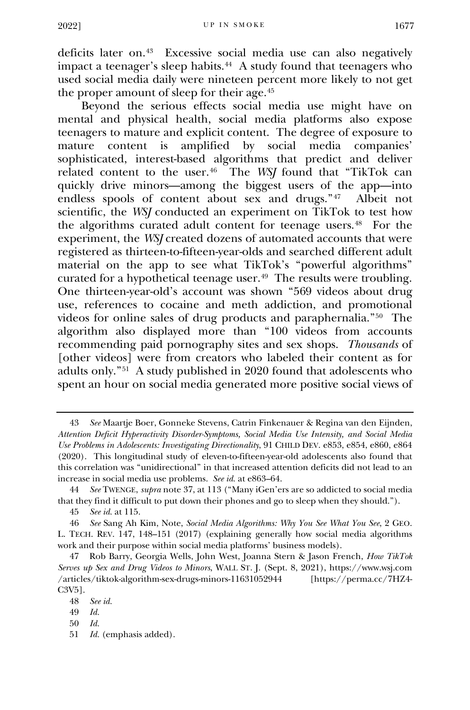deficits later on.[43](#page-8-0) Excessive social media use can also negatively impact a teenager's sleep habits.<sup>44</sup> A study found that teenagers who used social media daily were nineteen percent more likely to not get the proper amount of sleep for their age.<sup>[45](#page-8-2)</sup>

Beyond the serious effects social media use might have on mental and physical health, social media platforms also expose teenagers to mature and explicit content. The degree of exposure to mature content is amplified by social media companies' sophisticated, interest-based algorithms that predict and deliver related content to the user.<sup>[46](#page-8-3)</sup> The *WSJ* found that "TikTok can quickly drive minors—among the biggest users of the app—into endless spools of content about sex and drugs."[47](#page-8-4) Albeit not scientific, the *WSJ* conducted an experiment on TikTok to test how the algorithms curated adult content for teenage users.[48](#page-8-5) For the experiment, the *WSJ* created dozens of automated accounts that were registered as thirteen-to-fifteen-year-olds and searched different adult material on the app to see what TikTok's "powerful algorithms" curated for a hypothetical teenage user.<sup>[49](#page-8-6)</sup> The results were troubling. One thirteen-year-old's account was shown "569 videos about drug use, references to cocaine and meth addiction, and promotional videos for online sales of drug products and paraphernalia."[50](#page-8-7) The algorithm also displayed more than "100 videos from accounts recommending paid pornography sites and sex shops. *Thousands* of [other videos] were from creators who labeled their content as for adults only."[51](#page-8-8) A study published in 2020 found that adolescents who spent an hour on social media generated more positive social views of

<span id="page-9-0"></span><sup>43</sup> *See* Maartje Boer, Gonneke Stevens, Catrin Finkenauer & Regina van den Eijnden, *Attention Deficit Hyperactivity Disorder-Symptoms, Social Media Use Intensity, and Social Media Use Problems in Adolescents: Investigating Directionality*, 91 CHILD DEV. e853, e854, e860, e864 (2020). This longitudinal study of eleven-to-fifteen-year-old adolescents also found that this correlation was "unidirectional" in that increased attention deficits did not lead to an increase in social media use problems. *See id.* at e863–64.

<span id="page-9-1"></span><sup>44</sup> *See* TWENGE, *supra* note 37, at 113 ("Many iGen'ers are so addicted to social media that they find it difficult to put down their phones and go to sleep when they should.").

<sup>45</sup> *See id.* at 115.

<span id="page-9-2"></span><sup>46</sup> *See* Sang Ah Kim, Note, *Social Media Algorithms: Why You See What You See*, 2 GEO. L. TECH. REV. 147, 148–151 (2017) (explaining generally how social media algorithms work and their purpose within social media platforms' business models).

<span id="page-9-4"></span><span id="page-9-3"></span><sup>47</sup> Rob Barry, Georgia Wells, John West, Joanna Stern & Jason French, *How TikTok Serves up Sex and Drug Videos to Minors*, WALL ST. J. (Sept. 8, 2021), https://www.wsj.com /articles/tiktok-algorithm-sex-drugs-minors-11631052944 [https://perma.cc/7HZ4- C3V5].

<sup>48</sup> *See id.*

<sup>49</sup> *Id.*

<sup>50</sup> *Id.*

<span id="page-9-6"></span><span id="page-9-5"></span><sup>51</sup> *Id.* (emphasis added).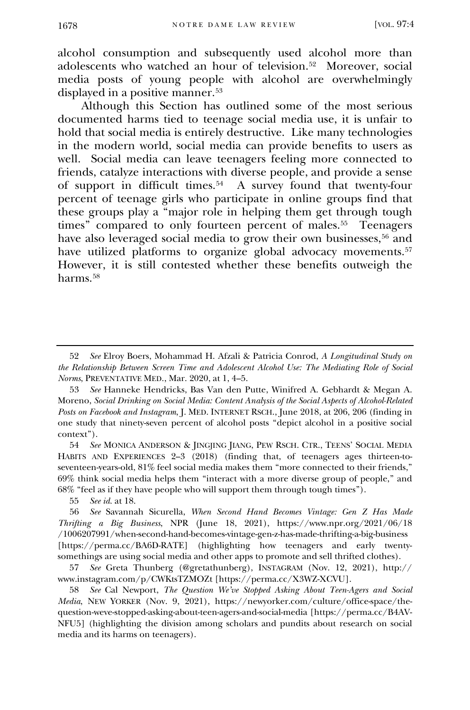alcohol consumption and subsequently used alcohol more than adolescents who watched an hour of television.[52](#page-9-0) Moreover, social media posts of young people with alcohol are overwhelmingly displayed in a positive manner.<sup>[53](#page-9-1)</sup>

Although this Section has outlined some of the most serious documented harms tied to teenage social media use, it is unfair to hold that social media is entirely destructive. Like many technologies in the modern world, social media can provide benefits to users as well. Social media can leave teenagers feeling more connected to friends, catalyze interactions with diverse people, and provide a sense of support in difficult times.<sup>[54](#page-9-2)</sup> A survey found that twenty-four percent of teenage girls who participate in online groups find that these groups play a "major role in helping them get through tough times" compared to only fourteen percent of males.<sup>55</sup> Teenagers have also leveraged social media to grow their own businesses,<sup>[56](#page-9-4)</sup> and have utilized platforms to organize global advocacy movements.<sup>[57](#page-9-5)</sup> However, it is still contested whether these benefits outweigh the harms<sup>[58](#page-9-6)</sup>

54 *See* MONICA ANDERSON & JINGJING JIANG, PEW RSCH. CTR., TEENS' SOCIAL MEDIA HABITS AND EXPERIENCES 2–3 (2018) (finding that, of teenagers ages thirteen-toseventeen-years-old, 81% feel social media makes them "more connected to their friends," 69% think social media helps them "interact with a more diverse group of people," and 68% "feel as if they have people who will support them through tough times").

55 *See id.* at 18.

56 *See* Savannah Sicurella, *When Second Hand Becomes Vintage: Gen Z Has Made Thrifting a Big Business*, NPR (June 18, 2021), https://www.npr.org/2021/06/18 /1006207991/when-second-hand-becomes-vintage-gen-z-has-made-thrifting-a-big-business [https://perma.cc/BA6D-RATE] (highlighting how teenagers and early twentysomethings are using social media and other apps to promote and sell thrifted clothes).

<span id="page-10-4"></span><span id="page-10-3"></span><span id="page-10-2"></span><span id="page-10-1"></span><span id="page-10-0"></span>58 *See* Cal Newport, *The Question We've Stopped Asking About Teen-Agers and Social Media*, NEW YORKER (Nov. 9, 2021), https://newyorker.com/culture/office-space/thequestion-weve-stopped-asking-about-teen-agers-and-social-media [https://perma.cc/B4AV-NFU5] (highlighting the division among scholars and pundits about research on social media and its harms on teenagers).

<sup>52</sup> *See* Elroy Boers, Mohammad H. Afzali & Patricia Conrod, *A Longitudinal Study on the Relationship Between Screen Time and Adolescent Alcohol Use: The Mediating Role of Social Norms*, PREVENTATIVE MED., Mar. 2020, at 1, 4–5.

<sup>53</sup> *See* Hanneke Hendricks, Bas Van den Putte, Winifred A. Gebhardt & Megan A. Moreno, *Social Drinking on Social Media: Content Analysis of the Social Aspects of Alcohol-Related Posts on Facebook and Instagram*, J. MED. INTERNET RSCH., June 2018, at 206, 206 (finding in one study that ninety-seven percent of alcohol posts "depict alcohol in a positive social context").

<sup>57</sup> *See* Greta Thunberg (@gretathunberg), INSTAGRAM (Nov. 12, 2021), http:// www.instagram.com/p/CWKtsTZMOZt [https://perma.cc/X3WZ-XCVU].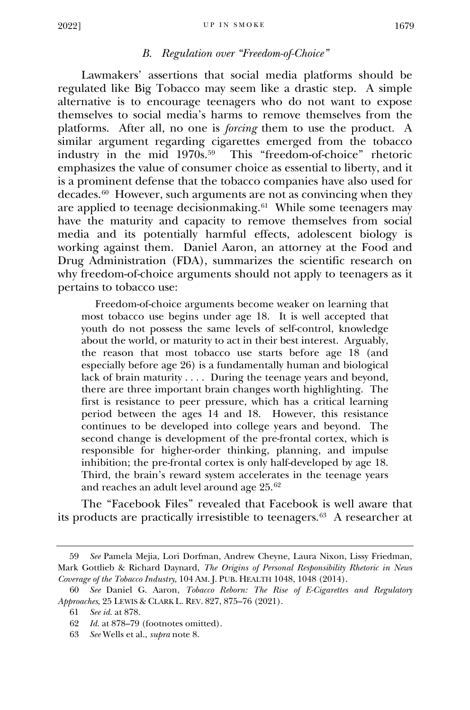# *B. Regulation over "Freedom-of-Choice"*

Lawmakers' assertions that social media platforms should be regulated like Big Tobacco may seem like a drastic step. A simple alternative is to encourage teenagers who do not want to expose themselves to social media's harms to remove themselves from the platforms. After all, no one is *forcing* them to use the product. A similar argument regarding cigarettes emerged from the tobacco industry in the mid 1970s.<sup>59</sup> This "freedom-of-choice" rhetoric emphasizes the value of consumer choice as essential to liberty, and it is a prominent defense that the tobacco companies have also used for decades.[60](#page-10-1) However, such arguments are not as convincing when they are applied to teenage decisionmaking.<sup>61</sup> While some teenagers may have the maturity and capacity to remove themselves from social media and its potentially harmful effects, adolescent biology is working against them. Daniel Aaron, an attorney at the Food and Drug Administration (FDA), summarizes the scientific research on why freedom-of-choice arguments should not apply to teenagers as it pertains to tobacco use:

 Freedom-of-choice arguments become weaker on learning that most tobacco use begins under age 18. It is well accepted that youth do not possess the same levels of self-control, knowledge about the world, or maturity to act in their best interest. Arguably, the reason that most tobacco use starts before age 18 (and especially before age 26) is a fundamentally human and biological lack of brain maturity . . . . During the teenage years and beyond, there are three important brain changes worth highlighting. The first is resistance to peer pressure, which has a critical learning period between the ages 14 and 18. However, this resistance continues to be developed into college years and beyond. The second change is development of the pre-frontal cortex, which is responsible for higher-order thinking, planning, and impulse inhibition; the pre-frontal cortex is only half-developed by age 18. Third, the brain's reward system accelerates in the teenage years and reaches an adult level around age 25.[62](#page-10-3)

<span id="page-11-1"></span><span id="page-11-0"></span>The "Facebook Files" revealed that Facebook is well aware that its products are practically irresistible to teenagers.[63](#page-10-4) A researcher at

<span id="page-11-3"></span><span id="page-11-2"></span><sup>59</sup> *See* Pamela Mejia, Lori Dorfman, Andrew Cheyne, Laura Nixon, Lissy Friedman, Mark Gottlieb & Richard Daynard, *The Origins of Personal Responsibility Rhetoric in News Coverage of the Tobacco Industry*, 104 AM. J. PUB. HEALTH 1048, 1048 (2014).

<span id="page-11-6"></span><span id="page-11-5"></span><span id="page-11-4"></span><sup>60</sup> *See* Daniel G. Aaron, *Tobacco Reborn: The Rise of E-Cigarettes and Regulatory Approaches*, 25 LEWIS & CLARK L. REV. 827, 875–76 (2021).

<sup>61</sup> *See id.* at 878.

<sup>62</sup> *Id.* at 878–79 (footnotes omitted).

<sup>63</sup> *See* Wells et al., *supra* note 8.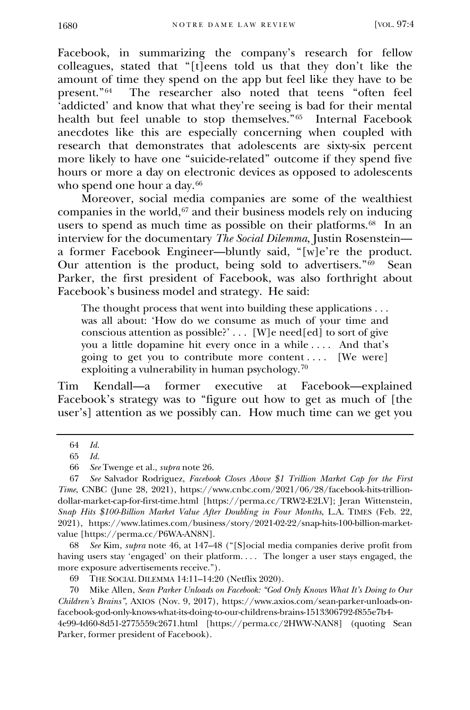Facebook, in summarizing the company's research for fellow colleagues, stated that "[t]eens told us that they don't like the amount of time they spend on the app but feel like they have to be present."[64](#page-11-0) The researcher also noted that teens "often feel 'addicted' and know that what they're seeing is bad for their mental health but feel unable to stop themselves."[65](#page-11-1) Internal Facebook anecdotes like this are especially concerning when coupled with research that demonstrates that adolescents are sixty-six percent more likely to have one "suicide-related" outcome if they spend five hours or more a day on electronic devices as opposed to adolescents who spend one hour a day.<sup>[66](#page-11-2)</sup>

Moreover, social media companies are some of the wealthiest companies in the world, $67$  and their business models rely on inducing users to spend as much time as possible on their platforms.<sup>[68](#page-11-4)</sup> In an interview for the documentary *The Social Dilemma*, Justin Rosenstein a former Facebook Engineer—bluntly said, "[w]e're the product. Our attention is the product, being sold to advertisers." $\hat{\theta}^9$  Sean Parker, the first president of Facebook, was also forthright about Facebook's business model and strategy. He said:

The thought process that went into building these applications . . . was all about: 'How do we consume as much of your time and conscious attention as possible?' . . . [W]e need[ed] to sort of give you a little dopamine hit every once in a while . . . . And that's going to get you to contribute more content .... [We were] exploiting a vulnerability in human psychology.<sup>[70](#page-11-6)</sup>

<span id="page-12-1"></span><span id="page-12-0"></span>Tim Kendall—a former executive at Facebook—explained Facebook's strategy was to "figure out how to get as much of [the user's] attention as we possibly can. How much time can we get you

<span id="page-12-2"></span>68 *See* Kim, *supra* note 46, at 147–48 ("[S]ocial media companies derive profit from having users stay 'engaged' on their platform.... The longer a user stays engaged, the more exposure advertisements receive.").

69 THE SOCIAL DILEMMA 14:11–14:20 (Netflix 2020).

<span id="page-12-6"></span><span id="page-12-5"></span><span id="page-12-4"></span><span id="page-12-3"></span>70 Mike Allen, *Sean Parker Unloads on Facebook: "God Only Knows What It's Doing to Our Children's Brains"*, AXIOS (Nov. 9, 2017), https://www.axios.com/sean-parker-unloads-onfacebook-god-only-knows-what-its-doing-to-our-childrens-brains-1513306792-f855e7b4- 4e99-4d60-8d51-2775559c2671.html [https://perma.cc/2HWW-NAN8] (quoting Sean Parker, former president of Facebook).

<sup>64</sup> *Id.*

<sup>65</sup> *Id.*

<sup>66</sup> *See* Twenge et al., *supra* note 26.

<sup>67</sup> *See* Salvador Rodriguez, *Facebook Closes Above \$1 Trillion Market Cap for the First Time*, CNBC (June 28, 2021), https://www.cnbc.com/2021/06/28/facebook-hits-trilliondollar-market-cap-for-first-time.html [https://perma.cc/TRW2-E2LV]; Jeran Wittenstein, *Snap Hits \$100-Billion Market Value After Doubling in Four Months*, L.A. TIMES (Feb. 22, 2021), https://www.latimes.com/business/story/2021-02-22/snap-hits-100-billion-marketvalue [https://perma.cc/P6WA-AN8N].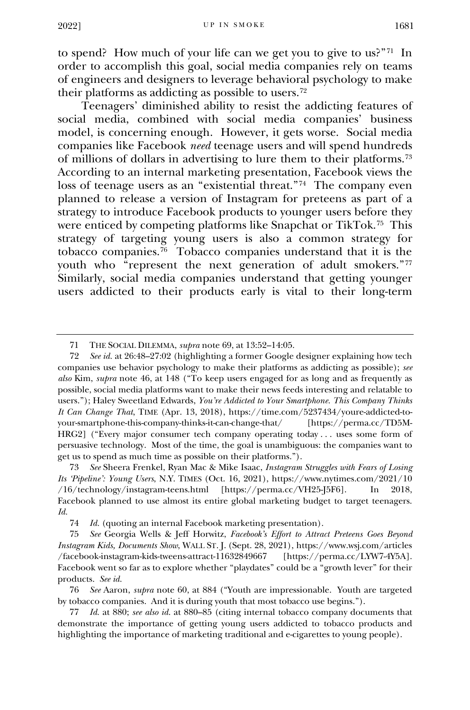to spend? How much of your life can we get you to give to us?"[71](#page-12-0) In order to accomplish this goal, social media companies rely on teams of engineers and designers to leverage behavioral psychology to make their platforms as addicting as possible to users.<sup>72</sup>

Teenagers' diminished ability to resist the addicting features of social media, combined with social media companies' business model, is concerning enough. However, it gets worse. Social media companies like Facebook *need* teenage users and will spend hundreds of millions of dollars in advertising to lure them to their platforms.[73](#page-12-2) According to an internal marketing presentation, Facebook views the loss of teenage users as an "existential threat."[74](#page-12-3) The company even planned to release a version of Instagram for preteens as part of a strategy to introduce Facebook products to younger users before they were enticed by competing platforms like Snapchat or TikTok.[75](#page-12-4) This strategy of targeting young users is also a common strategy for tobacco companies.<sup>76</sup> Tobacco companies understand that it is the youth who "represent the next generation of adult smokers."[77](#page-12-6) Similarly, social media companies understand that getting younger users addicted to their products early is vital to their long-term

<sup>71</sup> THE SOCIAL DILEMMA, *supra* note 69, at 13:52–14:05.

<sup>72</sup> *See id.* at 26:48–27:02 (highlighting a former Google designer explaining how tech companies use behavior psychology to make their platforms as addicting as possible); *see also* Kim, *supra* note 46, at 148 ("To keep users engaged for as long and as frequently as possible, social media platforms want to make their news feeds interesting and relatable to users."); Haley Sweetland Edwards, *You're Addicted to Your Smartphone. This Company Thinks It Can Change That*, TIME (Apr. 13, 2018), https://time.com/5237434/youre-addicted-toyour-smartphone-this-company-thinks-it-can-change-that/ [https://perma.cc/TD5M-HRG2] ("Every major consumer tech company operating today . . . uses some form of persuasive technology. Most of the time, the goal is unambiguous: the companies want to get us to spend as much time as possible on their platforms.").

<span id="page-13-1"></span><span id="page-13-0"></span><sup>73</sup> *See* Sheera Frenkel, Ryan Mac & Mike Isaac, *Instagram Struggles with Fears of Losing Its 'Pipeline': Young Users*, N.Y. TIMES (Oct. 16, 2021), https://www.nytimes.com/2021/10 /16/technology/instagram-teens.html [https://perma.cc/VH25-J5F6]. In 2018, Facebook planned to use almost its entire global marketing budget to target teenagers. *Id.*

<sup>74</sup> *Id.* (quoting an internal Facebook marketing presentation).

<span id="page-13-2"></span><sup>75</sup> *See* Georgia Wells & Jeff Horwitz, *Facebook's Effort to Attract Preteens Goes Beyond Instagram Kids, Documents Show*, WALL ST. J. (Sept. 28, 2021), https://www.wsj.com/articles /facebook-instagram-kids-tweens-attract-11632849667 [https://perma.cc/LYW7-4Y5A]. Facebook went so far as to explore whether "playdates" could be a "growth lever" for their products. *See id.*

<span id="page-13-3"></span><sup>76</sup> *See* Aaron, *supra* note 60, at 884 ("Youth are impressionable. Youth are targeted by tobacco companies. And it is during youth that most tobacco use begins.").

<span id="page-13-4"></span><sup>77</sup> *Id.* at 880; *see also id.* at 880–85 (citing internal tobacco company documents that demonstrate the importance of getting young users addicted to tobacco products and highlighting the importance of marketing traditional and e-cigarettes to young people).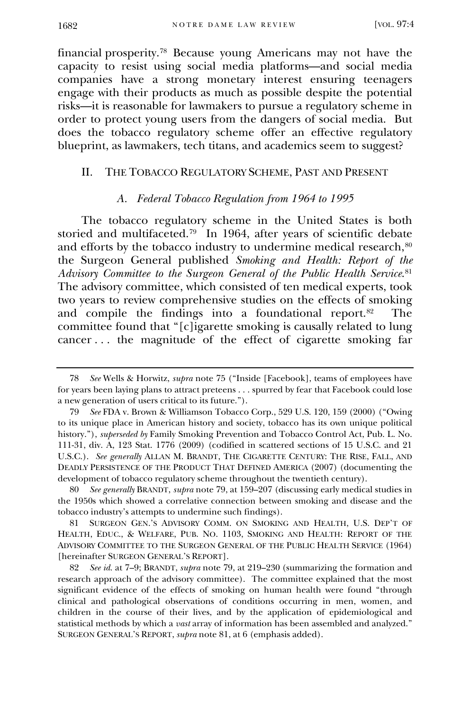financial prosperity.[78](#page-13-0) Because young Americans may not have the capacity to resist using social media platforms—and social media companies have a strong monetary interest ensuring teenagers engage with their products as much as possible despite the potential risks—it is reasonable for lawmakers to pursue a regulatory scheme in order to protect young users from the dangers of social media. But does the tobacco regulatory scheme offer an effective regulatory blueprint, as lawmakers, tech titans, and academics seem to suggest?

### II. THE TOBACCO REGULATORY SCHEME, PAST AND PRESENT

### *A. Federal Tobacco Regulation from 1964 to 1995*

The tobacco regulatory scheme in the United States is both storied and multifaceted.<sup>[79](#page-13-1)</sup> In 1964, after years of scientific debate and efforts by the tobacco industry to undermine medical research,<sup>[80](#page-13-2)</sup> the Surgeon General published *Smoking and Health: Report of the Advisory Committee to the Surgeon General of the Public Health Service*.[81](#page-13-3) The advisory committee, which consisted of ten medical experts, took two years to review comprehensive studies on the effects of smoking and compile the findings into a foundational report.[82](#page-13-4) The committee found that "[c]igarette smoking is causally related to lung cancer . . . the magnitude of the effect of cigarette smoking far

<sup>78</sup> *See* Wells & Horwitz, *supra* note 75 ("Inside [Facebook], teams of employees have for years been laying plans to attract preteens . . . spurred by fear that Facebook could lose a new generation of users critical to its future.").

<sup>79</sup> *See* FDA v. Brown & Williamson Tobacco Corp., 529 U.S. 120, 159 (2000) ("Owing to its unique place in American history and society, tobacco has its own unique political history."), *superseded by* Family Smoking Prevention and Tobacco Control Act, Pub. L. No. 111-31, div. A, 123 Stat. 1776 (2009) (codified in scattered sections of 15 U.S.C. and 21 U.S.C.). *See generally* ALLAN M. BRANDT, THE CIGARETTE CENTURY: THE RISE, FALL, AND DEADLY PERSISTENCE OF THE PRODUCT THAT DEFINED AMERICA (2007) (documenting the development of tobacco regulatory scheme throughout the twentieth century).

<span id="page-14-1"></span><span id="page-14-0"></span><sup>80</sup> *See generally* BRANDT, *supra* note 79, at 159–207 (discussing early medical studies in the 1950s which showed a correlative connection between smoking and disease and the tobacco industry's attempts to undermine such findings).

<span id="page-14-3"></span><span id="page-14-2"></span><sup>81</sup> SURGEON GEN.'S ADVISORY COMM. ON SMOKING AND HEALTH, U.S. DEP'T OF HEALTH, EDUC., & WELFARE, PUB. NO. 1103, SMOKING AND HEALTH: REPORT OF THE ADVISORY COMMITTEE TO THE SURGEON GENERAL OF THE PUBLIC HEALTH SERVICE (1964) [hereinafter SURGEON GENERAL'S REPORT].

<span id="page-14-8"></span><span id="page-14-7"></span><span id="page-14-6"></span><span id="page-14-5"></span><span id="page-14-4"></span><sup>82</sup> *See id.* at 7–9; BRANDT, *supra* note 79, at 219–230 (summarizing the formation and research approach of the advisory committee). The committee explained that the most significant evidence of the effects of smoking on human health were found "through clinical and pathological observations of conditions occurring in men, women, and children in the course of their lives, and by the application of epidemiological and statistical methods by which a *vast* array of information has been assembled and analyzed." SURGEON GENERAL'S REPORT, *supra* note 81, at 6 (emphasis added).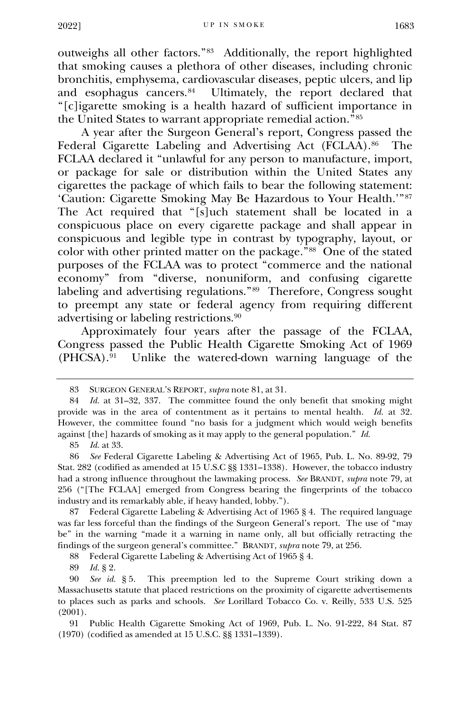$2022$ ] UP IN SMOKE 1683

outweighs all other factors."[83](#page-14-0) Additionally, the report highlighted that smoking causes a plethora of other diseases, including chronic bronchitis, emphysema, cardiovascular diseases, peptic ulcers, and lip and esophagus cancers.[84](#page-14-1) Ultimately, the report declared that "[c]igarette smoking is a health hazard of sufficient importance in the United States to warrant appropriate remedial action."[85](#page-14-2)

A year after the Surgeon General's report, Congress passed the Federal Cigarette Labeling and Advertising Act (FCLAA).<sup>[86](#page-14-3)</sup> The FCLAA declared it "unlawful for any person to manufacture, import, or package for sale or distribution within the United States any cigarettes the package of which fails to bear the following statement: 'Caution: Cigarette Smoking May Be Hazardous to Your Health.'"[87](#page-14-4) The Act required that "[s]uch statement shall be located in a conspicuous place on every cigarette package and shall appear in conspicuous and legible type in contrast by typography, layout, or color with other printed matter on the package."[88](#page-14-5) One of the stated purposes of the FCLAA was to protect "commerce and the national economy" from "diverse, nonuniform, and confusing cigarette labeling and advertising regulations."[89](#page-14-6) Therefore, Congress sought to preempt any state or federal agency from requiring different advertising or labeling restrictions.[90](#page-14-7)

Approximately four years after the passage of the FCLAA, Congress passed the Public Health Cigarette Smoking Act of 1969  $(PHCSA).<sup>91</sup>$  $(PHCSA).<sup>91</sup>$  $(PHCSA).<sup>91</sup>$  Unlike the watered-down warning language of the

85 *Id.* at 33.

88 Federal Cigarette Labeling & Advertising Act of 1965 § 4.

<sup>83</sup> SURGEON GENERAL'S REPORT, *supra* note 81, at 31.

<sup>84</sup> *Id.* at 31–32, 337. The committee found the only benefit that smoking might provide was in the area of contentment as it pertains to mental health. *Id.* at 32. However, the committee found "no basis for a judgment which would weigh benefits against [the] hazards of smoking as it may apply to the general population." *Id.*

<span id="page-15-2"></span><span id="page-15-1"></span><span id="page-15-0"></span><sup>86</sup> *See* Federal Cigarette Labeling & Advertising Act of 1965, Pub. L. No. 89-92, 79 Stat. 282 (codified as amended at 15 U.S.C §§ 1331–1338). However, the tobacco industry had a strong influence throughout the lawmaking process. *See* BRANDT, *supra* note 79, at 256 ("[The FCLAA] emerged from Congress bearing the fingerprints of the tobacco industry and its remarkably able, if heavy handed, lobby.").

<sup>87</sup> Federal Cigarette Labeling & Advertising Act of 1965 § 4. The required language was far less forceful than the findings of the Surgeon General's report. The use of "may be" in the warning "made it a warning in name only, all but officially retracting the findings of the surgeon general's committee." BRANDT, *supra* note 79, at 256.

<sup>89</sup> *Id.* § 2.

<span id="page-15-4"></span><span id="page-15-3"></span><sup>90</sup> *See id.* § 5. This preemption led to the Supreme Court striking down a Massachusetts statute that placed restrictions on the proximity of cigarette advertisements to places such as parks and schools. *See* Lorillard Tobacco Co. v. Reilly, 533 U.S. 525 (2001).

<span id="page-15-6"></span><span id="page-15-5"></span><sup>91</sup> Public Health Cigarette Smoking Act of 1969, Pub. L. No. 91-222, 84 Stat. 87 (1970) (codified as amended at 15 U.S.C. §§ 1331–1339).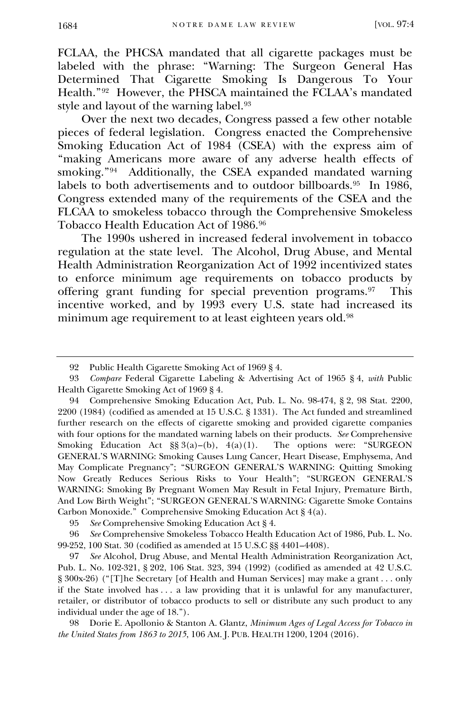FCLAA, the PHCSA mandated that all cigarette packages must be labeled with the phrase: "Warning: The Surgeon General Has Determined That Cigarette Smoking Is Dangerous To Your Health."[92](#page-15-0) However, the PHSCA maintained the FCLAA's mandated style and layout of the warning label.<sup>[93](#page-15-1)</sup>

Over the next two decades, Congress passed a few other notable pieces of federal legislation. Congress enacted the Comprehensive Smoking Education Act of 1984 (CSEA) with the express aim of "making Americans more aware of any adverse health effects of smoking."[94](#page-15-2) Additionally, the CSEA expanded mandated warning labels to both advertisements and to outdoor billboards.<sup>[95](#page-15-3)</sup> In 1986, Congress extended many of the requirements of the CSEA and the FLCAA to smokeless tobacco through the Comprehensive Smokeless Tobacco Health Education Act of 1986.[96](#page-15-4)

The 1990s ushered in increased federal involvement in tobacco regulation at the state level. The Alcohol, Drug Abuse, and Mental Health Administration Reorganization Act of 1992 incentivized states to enforce minimum age requirements on tobacco products by offering grant funding for special prevention programs.[97](#page-15-5) This incentive worked, and by 1993 every U.S. state had increased its minimum age requirement to at least eighteen years old[.98](#page-15-6)

<sup>92</sup> Public Health Cigarette Smoking Act of 1969 § 4.

<sup>93</sup> *Compare* Federal Cigarette Labeling & Advertising Act of 1965 § 4, *with* Public Health Cigarette Smoking Act of 1969 § 4.

<sup>94</sup> Comprehensive Smoking Education Act, Pub. L. No. 98-474, § 2, 98 Stat. 2200, 2200 (1984) (codified as amended at 15 U.S.C. § 1331). The Act funded and streamlined further research on the effects of cigarette smoking and provided cigarette companies with four options for the mandated warning labels on their products. *See* Comprehensive Smoking Education Act  $\S$ § 3(a)–(b), 4(a)(1). The options were: "SURGEON GENERAL'S WARNING: Smoking Causes Lung Cancer, Heart Disease, Emphysema, And May Complicate Pregnancy"; "SURGEON GENERAL'S WARNING: Quitting Smoking Now Greatly Reduces Serious Risks to Your Health"; "SURGEON GENERAL'S WARNING: Smoking By Pregnant Women May Result in Fetal Injury, Premature Birth, And Low Birth Weight"; "SURGEON GENERAL'S WARNING: Cigarette Smoke Contains Carbon Monoxide." Comprehensive Smoking Education Act § 4(a).

<sup>95</sup> *See* Comprehensive Smoking Education Act § 4.

<span id="page-16-0"></span><sup>96</sup> *See* Comprehensive Smokeless Tobacco Health Education Act of 1986, Pub. L. No. 99-252, 100 Stat. 30 (codified as amended at 15 U.S.C §§ 4401–4408).

<span id="page-16-2"></span><span id="page-16-1"></span><sup>97</sup> *See* Alcohol, Drug Abuse, and Mental Health Administration Reorganization Act, Pub. L. No. 102-321, § 202, 106 Stat. 323, 394 (1992) (codified as amended at 42 U.S.C. § 300x-26) ("[T]he Secretary [of Health and Human Services] may make a grant . . . only if the State involved has . . . a law providing that it is unlawful for any manufacturer, retailer, or distributor of tobacco products to sell or distribute any such product to any individual under the age of 18.").

<span id="page-16-5"></span><span id="page-16-4"></span><span id="page-16-3"></span><sup>98</sup> Dorie E. Apollonio & Stanton A. Glantz, *Minimum Ages of Legal Access for Tobacco in the United States from 1863 to 2015*, 106 AM. J. PUB. HEALTH 1200, 1204 (2016).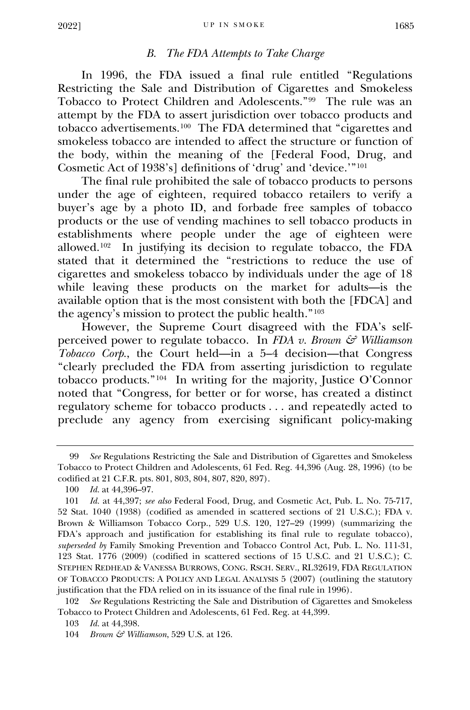# *B. The FDA Attempts to Take Charge*

In 1996, the FDA issued a final rule entitled "Regulations Restricting the Sale and Distribution of Cigarettes and Smokeless Tobacco to Protect Children and Adolescents."[99](#page-16-0) The rule was an attempt by the FDA to assert jurisdiction over tobacco products and tobacco advertisements.[100](#page-16-1) The FDA determined that "cigarettes and smokeless tobacco are intended to affect the structure or function of the body, within the meaning of the [Federal Food, Drug, and Cosmetic Act of 1938's] definitions of 'drug' and 'device.'"[101](#page-16-2)

The final rule prohibited the sale of tobacco products to persons under the age of eighteen, required tobacco retailers to verify a buyer's age by a photo ID, and forbade free samples of tobacco products or the use of vending machines to sell tobacco products in establishments where people under the age of eighteen were allowed.[102](#page-16-3)In justifying its decision to regulate tobacco, the FDA stated that it determined the "restrictions to reduce the use of cigarettes and smokeless tobacco by individuals under the age of 18 while leaving these products on the market for adults—is the available option that is the most consistent with both the [FDCA] and the agency's mission to protect the public health."[103](#page-16-4)

However, the Supreme Court disagreed with the FDA's selfperceived power to regulate tobacco. In *FDA v. Brown & Williamson Tobacco Corp.*, the Court held—in a 5–4 decision—that Congress "clearly precluded the FDA from asserting jurisdiction to regulate tobacco products."[104](#page-16-5) In writing for the majority, Justice O'Connor noted that "Congress, for better or for worse, has created a distinct regulatory scheme for tobacco products . . . and repeatedly acted to preclude any agency from exercising significant policy-making

<span id="page-17-6"></span><span id="page-17-5"></span><span id="page-17-4"></span><span id="page-17-3"></span><span id="page-17-2"></span><span id="page-17-1"></span>102 *See* Regulations Restricting the Sale and Distribution of Cigarettes and Smokeless Tobacco to Protect Children and Adolescents, 61 Fed. Reg. at 44,399.

<sup>99</sup> *See* Regulations Restricting the Sale and Distribution of Cigarettes and Smokeless Tobacco to Protect Children and Adolescents, 61 Fed. Reg. 44,396 (Aug. 28, 1996) (to be codified at 21 C.F.R. pts. 801, 803, 804, 807, 820, 897).

<sup>100</sup> *Id.* at 44,396–97.

<span id="page-17-0"></span><sup>101</sup> *Id.* at 44,397; *see also* Federal Food, Drug, and Cosmetic Act, Pub. L. No. 75-717, 52 Stat. 1040 (1938) (codified as amended in scattered sections of 21 U.S.C.); FDA v. Brown & Williamson Tobacco Corp., 529 U.S. 120, 127–29 (1999) (summarizing the FDA's approach and justification for establishing its final rule to regulate tobacco), *superseded by* Family Smoking Prevention and Tobacco Control Act, Pub. L. No. 111-31, 123 Stat. 1776 (2009) (codified in scattered sections of 15 U.S.C. and 21 U.S.C.); C. STEPHEN REDHEAD & VANESSA BURROWS, CONG. RSCH. SERV., RL32619, FDA REGULATION OF TOBACCO PRODUCTS: A POLICY AND LEGAL ANALYSIS 5 (2007) (outlining the statutory justification that the FDA relied on in its issuance of the final rule in 1996).

<sup>103</sup> *Id.* at 44,398.

<span id="page-17-8"></span><span id="page-17-7"></span><sup>104</sup> *Brown & Williamson*, 529 U.S. at 126.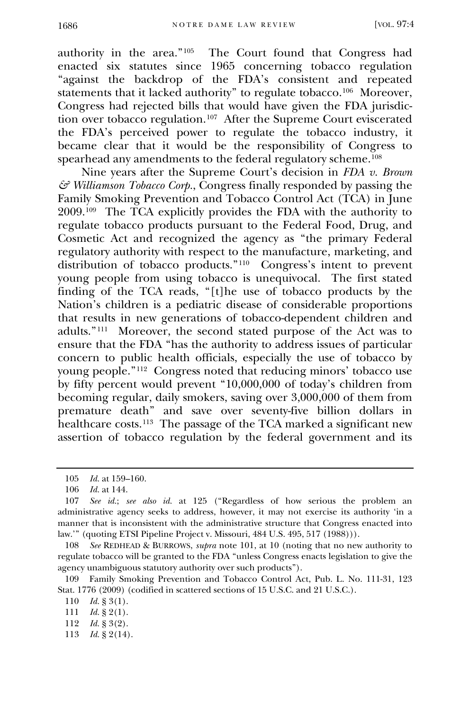authority in the area."[105](#page-17-0) The Court found that Congress had enacted six statutes since 1965 concerning tobacco regulation "against the backdrop of the FDA's consistent and repeated statements that it lacked authority" to regulate tobacco.<sup>[106](#page-17-1)</sup> Moreover, Congress had rejected bills that would have given the FDA jurisdiction over tobacco regulation.<sup>107</sup> After the Supreme Court eviscerated the FDA's perceived power to regulate the tobacco industry, it became clear that it would be the responsibility of Congress to spearhead any amendments to the federal regulatory scheme.<sup>[108](#page-17-3)</sup>

Nine years after the Supreme Court's decision in *FDA v. Brown & Williamson Tobacco Corp.*, Congress finally responded by passing the Family Smoking Prevention and Tobacco Control Act (TCA) in June 2009.[109](#page-17-4) The TCA explicitly provides the FDA with the authority to regulate tobacco products pursuant to the Federal Food, Drug, and Cosmetic Act and recognized the agency as "the primary Federal regulatory authority with respect to the manufacture, marketing, and distribution of tobacco products."[110](#page-17-5) Congress's intent to prevent young people from using tobacco is unequivocal. The first stated finding of the TCA reads, "[t]he use of tobacco products by the Nation's children is a pediatric disease of considerable proportions that results in new generations of tobacco-dependent children and adults."[111](#page-17-6) Moreover, the second stated purpose of the Act was to ensure that the FDA "has the authority to address issues of particular concern to public health officials, especially the use of tobacco by young people."[112](#page-17-7) Congress noted that reducing minors' tobacco use by fifty percent would prevent "10,000,000 of today's children from becoming regular, daily smokers, saving over  $3,000,000$  of them from premature death" and save over seventy-five billion dollars in healthcare costs.<sup>[113](#page-17-8)</sup> The passage of the TCA marked a significant new assertion of tobacco regulation by the federal government and its

<span id="page-18-6"></span><span id="page-18-5"></span>113 *Id.* § 2(14).

<sup>105</sup> *Id.* at 159–160.

<sup>106</sup> *Id.* at 144.

<span id="page-18-0"></span><sup>107</sup> *See id.*; *see also id.* at 125 ("Regardless of how serious the problem an administrative agency seeks to address, however, it may not exercise its authority 'in a manner that is inconsistent with the administrative structure that Congress enacted into law.'" (quoting ETSI Pipeline Project v. Missouri, 484 U.S. 495, 517 (1988))).

<span id="page-18-2"></span><span id="page-18-1"></span><sup>108</sup> *See* REDHEAD & BURROWS, *supra* note 101, at 10 (noting that no new authority to regulate tobacco will be granted to the FDA "unless Congress enacts legislation to give the agency unambiguous statutory authority over such products").

<span id="page-18-4"></span><span id="page-18-3"></span><sup>109</sup> Family Smoking Prevention and Tobacco Control Act, Pub. L. No. 111-31, 123 Stat. 1776 (2009) (codified in scattered sections of 15 U.S.C. and 21 U.S.C.).

<sup>110</sup> *Id.* § 3(1).

<sup>111</sup> *Id.* § 2(1).

<sup>112</sup> *Id.* § 3(2).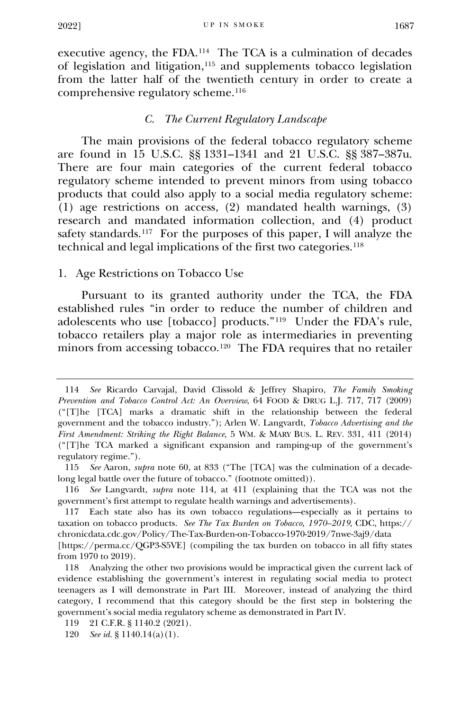executive agency, the  $FDA<sup>114</sup>$  $FDA<sup>114</sup>$  $FDA<sup>114</sup>$  The TCA is a culmination of decades of legislation and litigation,[115](#page-18-1) and supplements tobacco legislation from the latter half of the twentieth century in order to create a comprehensive regulatory scheme[.116](#page-18-2)

## *C. The Current Regulatory Landscape*

The main provisions of the federal tobacco regulatory scheme are found in 15 U.S.C. §§ 1331–1341 and 21 U.S.C. §§ 387–387u. There are four main categories of the current federal tobacco regulatory scheme intended to prevent minors from using tobacco products that could also apply to a social media regulatory scheme: (1) age restrictions on access, (2) mandated health warnings, (3) research and mandated information collection, and (4) product safety standards.<sup>117</sup> For the purposes of this paper, I will analyze the technical and legal implications of the first two categories.[118](#page-18-4)

### 1. Age Restrictions on Tobacco Use

Pursuant to its granted authority under the TCA, the FDA established rules "in order to reduce the number of children and adolescents who use [tobacco] products."[119](#page-18-5) Under the FDA's rule, tobacco retailers play a major role as intermediaries in preventing minors from accessing tobacco.<sup>[120](#page-18-6)</sup> The FDA requires that no retailer

<sup>114</sup> *See* Ricardo Carvajal, David Clissold & Jeffrey Shapiro, *The Family Smoking Prevention and Tobacco Control Act: An Overview*, 64 FOOD & DRUG L.J. 717, 717 (2009) ("[T]he [TCA] marks a dramatic shift in the relationship between the federal government and the tobacco industry."); Arlen W. Langvardt, *Tobacco Advertising and the First Amendment: Striking the Right Balance*, 5 WM. & MARY BUS. L. REV. 331, 411 (2014) ("[T]he TCA marked a significant expansion and ramping-up of the government's regulatory regime.").

<sup>115</sup> *See* Aaron, *supra* note 60, at 833 ("The [TCA] was the culmination of a decadelong legal battle over the future of tobacco." (footnote omitted)).

<sup>116</sup> *See* Langvardt, *supra* note 114, at 411 (explaining that the TCA was not the government's first attempt to regulate health warnings and advertisements).

<span id="page-19-1"></span><span id="page-19-0"></span><sup>117</sup> Each state also has its own tobacco regulations—especially as it pertains to taxation on tobacco products. *See The Tax Burden on Tobacco, 1970–2019*, CDC, https:// chronicdata.cdc.gov/Policy/The-Tax-Burden-on-Tobacco-1970-2019/7nwe-3aj9/data

<span id="page-19-3"></span><span id="page-19-2"></span><sup>[</sup>https://perma.cc/QGP3-S5VE] (compiling the tax burden on tobacco in all fifty states from 1970 to 2019).

<span id="page-19-5"></span><span id="page-19-4"></span><sup>118</sup> Analyzing the other two provisions would be impractical given the current lack of evidence establishing the government's interest in regulating social media to protect teenagers as I will demonstrate in Part III. Moreover, instead of analyzing the third category, I recommend that this category should be the first step in bolstering the government's social media regulatory scheme as demonstrated in Part IV.

<sup>119</sup> 21 C.F.R. § 1140.2 (2021).

<span id="page-19-9"></span><span id="page-19-8"></span><span id="page-19-7"></span><span id="page-19-6"></span><sup>120</sup> *See id.* § 1140.14(a)(1).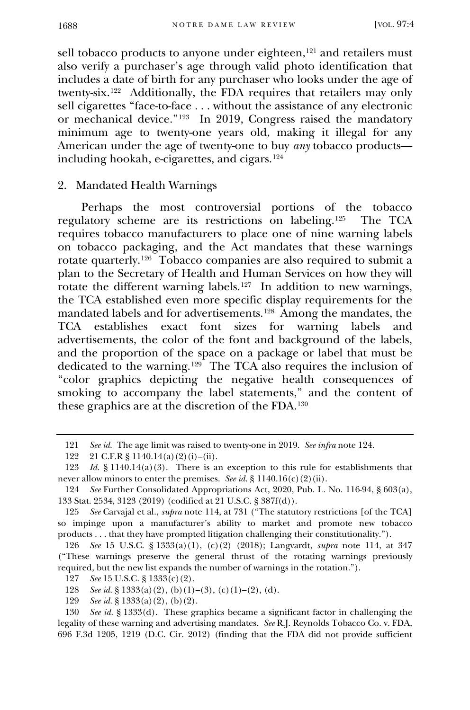sell tobacco products to anyone under eighteen,<sup>[121](#page-19-0)</sup> and retailers must also verify a purchaser's age through valid photo identification that includes a date of birth for any purchaser who looks under the age of twenty-six.[122](#page-19-1) Additionally, the FDA requires that retailers may only sell cigarettes "face-to-face . . . without the assistance of any electronic or mechanical device."[123](#page-19-2) In 2019, Congress raised the mandatory minimum age to twenty-one years old, making it illegal for any American under the age of twenty-one to buy *any* tobacco products including hookah, e-cigarettes, and cigars.[124](#page-19-3)

## 2. Mandated Health Warnings

Perhaps the most controversial portions of the tobacco regulatory scheme are its restrictions on labeling.[125](#page-19-4) The TCA requires tobacco manufacturers to place one of nine warning labels on tobacco packaging, and the Act mandates that these warnings rotate quarterly.[126](#page-19-5) Tobacco companies are also required to submit a plan to the Secretary of Health and Human Services on how they will rotate the different warning labels.<sup>127</sup> In addition to new warnings, the TCA established even more specific display requirements for the mandated labels and for advertisements[.128](#page-19-7) Among the mandates, the TCA establishes exact font sizes for warning labels and advertisements, the color of the font and background of the labels, and the proportion of the space on a package or label that must be dedicated to the warning.[129](#page-19-8) The TCA also requires the inclusion of "color graphics depicting the negative health consequences of smoking to accompany the label statements," and the content of these graphics are at the discretion of the FDA.[130](#page-19-9)

129 *See id.* § 1333(a)(2), (b)(2).

<sup>121</sup> *See id.* The age limit was raised to twenty-one in 2019. *See infra* note 124.

<sup>122 21</sup> C.F.R § 1140.14(a)(2)(i)–(ii).

<span id="page-20-1"></span><span id="page-20-0"></span><sup>123</sup> *Id.* § 1140.14(a)(3). There is an exception to this rule for establishments that never allow minors to enter the premises. *See id.* § 1140.16(c)(2)(ii).

<sup>124</sup> *See* Further Consolidated Appropriations Act, 2020, Pub. L. No. 116-94, § 603(a), 133 Stat. 2534, 3123 (2019) (codified at 21 U.S.C. § 387f(d)).

<sup>125</sup> *See* Carvajal et al., *supra* note 114, at 731 ("The statutory restrictions [of the TCA] so impinge upon a manufacturer's ability to market and promote new tobacco products . . . that they have prompted litigation challenging their constitutionality.").

<sup>126</sup> *See* 15 U.S.C. § 1333(a)(1), (c)(2) (2018); Langvardt, *supra* note 114, at 347 ("These warnings preserve the general thrust of the rotating warnings previously required, but the new list expands the number of warnings in the rotation.").

<sup>127</sup> *See* 15 U.S.C. § 1333(c)(2).

<sup>128</sup> *See id.* § 1333(a)(2), (b)(1)–(3), (c)(1)–(2), (d).

<span id="page-20-2"></span><sup>130</sup> *See id.* § 1333(d). These graphics became a significant factor in challenging the legality of these warning and advertising mandates. *See* R.J. Reynolds Tobacco Co. v. FDA, 696 F.3d 1205, 1219 (D.C. Cir. 2012) (finding that the FDA did not provide sufficient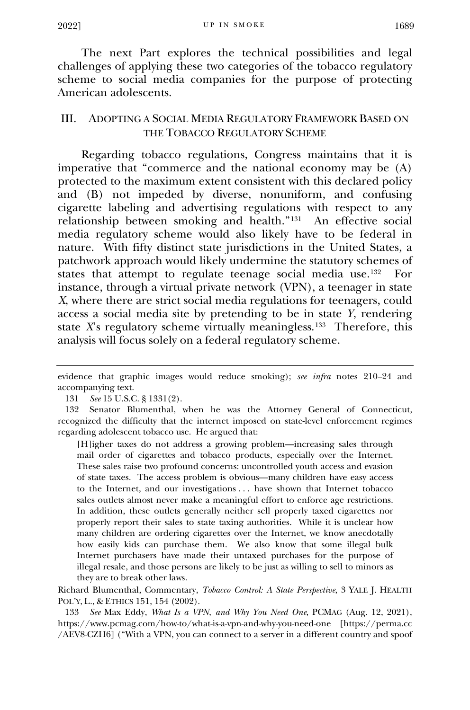The next Part explores the technical possibilities and legal challenges of applying these two categories of the tobacco regulatory scheme to social media companies for the purpose of protecting American adolescents.

# III. ADOPTING A SOCIAL MEDIA REGULATORY FRAMEWORK BASED ON THE TOBACCO REGULATORY SCHEME

Regarding tobacco regulations, Congress maintains that it is imperative that "commerce and the national economy may be (A) protected to the maximum extent consistent with this declared policy and (B) not impeded by diverse, nonuniform, and confusing cigarette labeling and advertising regulations with respect to any relationship between smoking and health."[131](#page-20-0) An effective social media regulatory scheme would also likely have to be federal in nature. With fifty distinct state jurisdictions in the United States, a patchwork approach would likely undermine the statutory schemes of states that attempt to regulate teenage social media use.[132](#page-20-1) For instance, through a virtual private network (VPN), a teenager in state *X*, where there are strict social media regulations for teenagers, could access a social media site by pretending to be in state *Y*, rendering state *X*'s regulatory scheme virtually meaningless.[133](#page-20-2) Therefore, this analysis will focus solely on a federal regulatory scheme.

[H]igher taxes do not address a growing problem—increasing sales through mail order of cigarettes and tobacco products, especially over the Internet. These sales raise two profound concerns: uncontrolled youth access and evasion of state taxes. The access problem is obvious—many children have easy access to the Internet, and our investigations . . . have shown that Internet tobacco sales outlets almost never make a meaningful effort to enforce age restrictions. In addition, these outlets generally neither sell properly taxed cigarettes nor properly report their sales to state taxing authorities. While it is unclear how many children are ordering cigarettes over the Internet, we know anecdotally how easily kids can purchase them. We also know that some illegal bulk Internet purchasers have made their untaxed purchases for the purpose of illegal resale, and those persons are likely to be just as willing to sell to minors as they are to break other laws.

<span id="page-21-4"></span><span id="page-21-3"></span><span id="page-21-2"></span><span id="page-21-1"></span>Richard Blumenthal, Commentary, *Tobacco Control: A State Perspective*, 3 YALE J. HEALTH POL'Y, L., & ETHICS 151, 154 (2002).

133 *See* Max Eddy, *What Is a VPN, and Why You Need One*, PCMAG (Aug. 12, 2021), https://www.pcmag.com/how-to/what-is-a-vpn-and-why-you-need-one [https://perma.cc /AEV8-CZH6] ("With a VPN, you can connect to a server in a different country and spoof

evidence that graphic images would reduce smoking); *see infra* notes 210–24 and accompanying text.

<sup>131</sup> *See* 15 U.S.C. § 1331(2).

<span id="page-21-0"></span><sup>132</sup> Senator Blumenthal, when he was the Attorney General of Connecticut, recognized the difficulty that the internet imposed on state-level enforcement regimes regarding adolescent tobacco use. He argued that: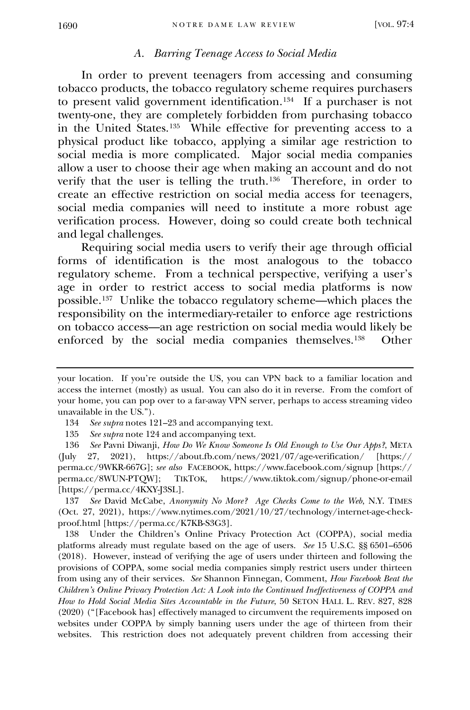### *A. Barring Teenage Access to Social Media*

In order to prevent teenagers from accessing and consuming tobacco products, the tobacco regulatory scheme requires purchasers to present valid government identification.[134](#page-21-0) If a purchaser is not twenty-one, they are completely forbidden from purchasing tobacco in the United States.[135](#page-21-1) While effective for preventing access to a physical product like tobacco, applying a similar age restriction to social media is more complicated. Major social media companies allow a user to choose their age when making an account and do not verify that the user is telling the truth.[136](#page-21-2) Therefore, in order to create an effective restriction on social media access for teenagers, social media companies will need to institute a more robust age verification process. However, doing so could create both technical and legal challenges.

Requiring social media users to verify their age through official forms of identification is the most analogous to the tobacco regulatory scheme. From a technical perspective, verifying a user's age in order to restrict access to social media platforms is now possible.[137](#page-21-3) Unlike the tobacco regulatory scheme—which places the responsibility on the intermediary-retailer to enforce age restrictions on tobacco access—an age restriction on social media would likely be enforced by the social media companies themselves.[138](#page-21-4) Other

137 *See* David McCabe, *Anonymity No More? Age Checks Come to the Web*, N.Y. TIMES (Oct. 27, 2021), https://www.nytimes.com/2021/10/27/technology/internet-age-checkproof.html [https://perma.cc/K7KB-S3G3].

<span id="page-22-8"></span><span id="page-22-7"></span><span id="page-22-6"></span><span id="page-22-5"></span><span id="page-22-4"></span><span id="page-22-3"></span><span id="page-22-2"></span><span id="page-22-1"></span><span id="page-22-0"></span>138 Under the Children's Online Privacy Protection Act (COPPA), social media platforms already must regulate based on the age of users. *See* 15 U.S.C. §§ 6501–6506 (2018). However, instead of verifying the age of users under thirteen and following the provisions of COPPA, some social media companies simply restrict users under thirteen from using any of their services. *See* Shannon Finnegan, Comment, *How Facebook Beat the Children's Online Privacy Protection Act: A Look into the Continued Ineffectiveness of COPPA and How to Hold Social Media Sites Accountable in the Future*, 50 SETON HALL L. REV. 827, 828 (2020) ("[Facebook has] effectively managed to circumvent the requirements imposed on websites under COPPA by simply banning users under the age of thirteen from their websites. This restriction does not adequately prevent children from accessing their

your location. If you're outside the US, you can VPN back to a familiar location and access the internet (mostly) as usual. You can also do it in reverse. From the comfort of your home, you can pop over to a far-away VPN server, perhaps to access streaming video unavailable in the US.").

<sup>134</sup> *See supra* notes 121–23 and accompanying text.

<sup>135</sup> *See supra* note 124 and accompanying text.

<sup>136</sup> *See* Pavni Diwanji, *How Do We Know Someone Is Old Enough to Use Our Apps?*, META (July 27, 2021), https://about.fb.com/news/2021/07/age-verification/ [https:// perma.cc/9WKR-667G]; *see also* FACEBOOK, https://www.facebook.com/signup [https:// perma.cc/8WUN-PTQW]; TIKTOK, https://www.tiktok.com/signup/phone-or-email [https://perma.cc/4KXY-J3SL].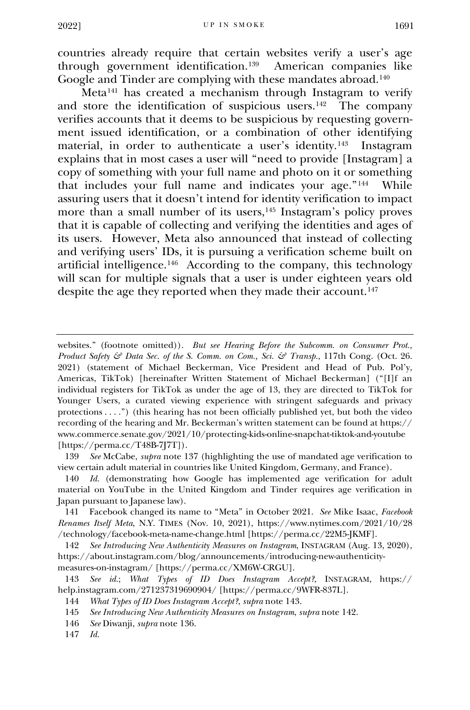countries already require that certain websites verify a user's age through government identification.[139](#page-22-0) American companies like Google and Tinder are complying with these mandates abroad.<sup>[140](#page-22-1)</sup>

 $\rm Meta^{141}$  $\rm Meta^{141}$  $\rm Meta^{141}$  has created a mechanism through Instagram to verify and store the identification of suspicious users.<sup>142</sup> The company verifies accounts that it deems to be suspicious by requesting government issued identification, or a combination of other identifying material, in order to authenticate a user's identity.[143](#page-22-4) Instagram explains that in most cases a user will "need to provide [Instagram] a copy of something with your full name and photo on it or something that includes your full name and indicates your age."[144](#page-22-5) While assuring users that it doesn't intend for identity verification to impact more than a small number of its users,<sup>[145](#page-22-6)</sup> Instagram's policy proves that it is capable of collecting and verifying the identities and ages of its users. However, Meta also announced that instead of collecting and verifying users' IDs, it is pursuing a verification scheme built on artificial intelligence.[146](#page-22-7) According to the company, this technology will scan for multiple signals that a user is under eighteen years old despite the age they reported when they made their account.<sup>[147](#page-22-8)</sup>

139 *See* McCabe, *supra* note 137 (highlighting the use of mandated age verification to view certain adult material in countries like United Kingdom, Germany, and France).

140 *Id.* (demonstrating how Google has implemented age verification for adult material on YouTube in the United Kingdom and Tinder requires age verification in Japan pursuant to Japanese law).

<span id="page-23-0"></span>141 Facebook changed its name to "Meta" in October 2021. *See* Mike Isaac, *Facebook Renames Itself Meta*, N.Y. TIMES (Nov. 10, 2021), https://www.nytimes.com/2021/10/28 /technology/facebook-meta-name-change.html [https://perma.cc/22M5-JKMF].

<span id="page-23-1"></span>142 *See Introducing New Authenticity Measures on Instagram*, INSTAGRAM (Aug. 13, 2020), https://about.instagram.com/blog/announcements/introducing-new-authenticitymeasures-on-instagram/ [https://perma.cc/XM6W-CRGU].

<span id="page-23-6"></span><span id="page-23-5"></span><span id="page-23-4"></span><span id="page-23-3"></span><span id="page-23-2"></span>143 *See id.*; *What Types of ID Does Instagram Accept?*, INSTAGRAM, https:// help.instagram.com/271237319690904/ [https://perma.cc/9WFR-837L].

<span id="page-23-9"></span><span id="page-23-8"></span><span id="page-23-7"></span>147 *Id.*

websites." (footnote omitted)). *But see Hearing Before the Subcomm. on Consumer Prot., Product Safety & Data Sec. of the S. Comm. on Com., Sci. & Transp.*, 117th Cong. (Oct. 26. 2021) (statement of Michael Beckerman, Vice President and Head of Pub. Pol'y, Americas, TikTok) [hereinafter Written Statement of Michael Beckerman] ("[I]f an individual registers for TikTok as under the age of 13, they are directed to TikTok for Younger Users, a curated viewing experience with stringent safeguards and privacy protections . . . .") (this hearing has not been officially published yet, but both the video recording of the hearing and Mr. Beckerman's written statement can be found at https:// www.commerce.senate.gov/2021/10/protecting-kids-online-snapchat-tiktok-and-youtube [https://perma.cc/T48B-7J7T]).

<sup>144</sup> *What Types of ID Does Instagram Accept?*, *supra* note 143.

<sup>145</sup> *See Introducing New Authenticity Measures on Instagram*, *supra* note 142.

<sup>146</sup> *See* Diwanji, *supra* note 136.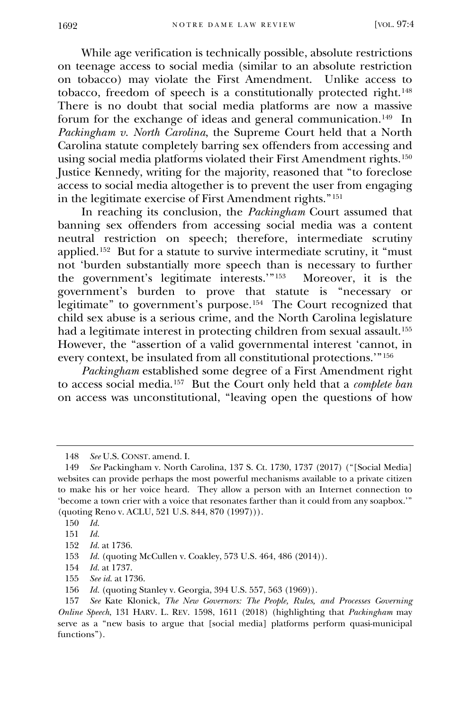While age verification is technically possible, absolute restrictions on teenage access to social media (similar to an absolute restriction on tobacco) may violate the First Amendment. Unlike access to tobacco, freedom of speech is a constitutionally protected right.[148](#page-23-0) There is no doubt that social media platforms are now a massive forum for the exchange of ideas and general communication.[149](#page-23-1) In *Packingham v. North Carolina*, the Supreme Court held that a North Carolina statute completely barring sex offenders from accessing and using social media platforms violated their First Amendment rights.<sup>[150](#page-23-2)</sup> Justice Kennedy, writing for the majority, reasoned that "to foreclose access to social media altogether is to prevent the user from engaging in the legitimate exercise of First Amendment rights."[151](#page-23-3)

In reaching its conclusion, the *Packingham* Court assumed that banning sex offenders from accessing social media was a content neutral restriction on speech; therefore, intermediate scrutiny applied.<sup>152</sup> But for a statute to survive intermediate scrutiny, it "must" not 'burden substantially more speech than is necessary to further the government's legitimate interests.'"[153](#page-23-5) Moreover, it is the government's burden to prove that statute is "necessary or legitimate" to government's purpose.[154](#page-23-6) The Court recognized that child sex abuse is a serious crime, and the North Carolina legislature had a legitimate interest in protecting children from sexual assault.<sup>[155](#page-23-7)</sup> However, the "assertion of a valid governmental interest 'cannot, in every context, be insulated from all constitutional protections.'"[156](#page-23-8)

*Packingham* established some degree of a First Amendment right to access social media.[157](#page-23-9) But the Court only held that a *complete ban* on access was unconstitutional, "leaving open the questions of how

<sup>148</sup> *See* U.S. CONST. amend. I.

<span id="page-24-1"></span><span id="page-24-0"></span><sup>149</sup> *See* Packingham v. North Carolina, 137 S. Ct. 1730, 1737 (2017) ("[Social Media] websites can provide perhaps the most powerful mechanisms available to a private citizen to make his or her voice heard. They allow a person with an Internet connection to 'become a town crier with a voice that resonates farther than it could from any soapbox.'" (quoting Reno v. ACLU, 521 U.S. 844, 870 (1997))).

<sup>150</sup> *Id.*

<span id="page-24-2"></span><sup>151</sup> *Id.*

<sup>152</sup> *Id.* at 1736.

<sup>153</sup> *Id.* (quoting McCullen v. Coakley, 573 U.S. 464, 486 (2014)).

<sup>154</sup> *Id.* at 1737.

<sup>155</sup> *See id.* at 1736.

<sup>156</sup> *Id.* (quoting Stanley v. Georgia, 394 U.S. 557, 563 (1969)).

<span id="page-24-6"></span><span id="page-24-5"></span><span id="page-24-4"></span><span id="page-24-3"></span><sup>157</sup> *See* Kate Klonick, *The New Governors: The People, Rules, and Processes Governing Online Speech*, 131 HARV. L. REV. 1598, 1611 (2018) (highlighting that *Packingham* may serve as a "new basis to argue that [social media] platforms perform quasi-municipal functions").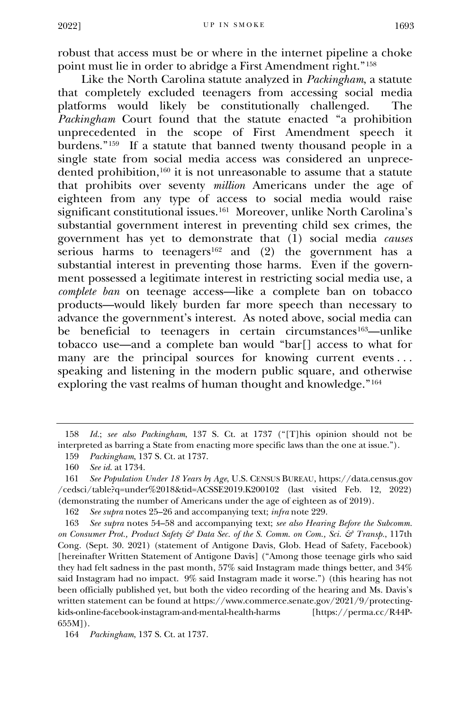robust that access must be or where in the internet pipeline a choke point must lie in order to abridge a First Amendment right."[158](#page-24-0)

Like the North Carolina statute analyzed in *Packingham*, a statute that completely excluded teenagers from accessing social media platforms would likely be constitutionally challenged. The *Packingham* Court found that the statute enacted "a prohibition" unprecedented in the scope of First Amendment speech it burdens."[159](#page-24-1) If a statute that banned twenty thousand people in a single state from social media access was considered an unprecedented prohibition,<sup>160</sup> it is not unreasonable to assume that a statute that prohibits over seventy *million* Americans under the age of eighteen from any type of access to social media would raise significant constitutional issues.<sup>[161](#page-24-3)</sup> Moreover, unlike North Carolina's substantial government interest in preventing child sex crimes, the government has yet to demonstrate that (1) social media *causes* serious harms to teenagers<sup>[162](#page-24-4)</sup> and  $(2)$  the government has a substantial interest in preventing those harms. Even if the government possessed a legitimate interest in restricting social media use, a *complete ban* on teenage access—like a complete ban on tobacco products—would likely burden far more speech than necessary to advance the government's interest. As noted above, social media can be beneficial to teenagers in certain circumstances<sup>163</sup>—unlike tobacco use—and a complete ban would "bar[] access to what for many are the principal sources for knowing current events... speaking and listening in the modern public square, and otherwise exploring the vast realms of human thought and knowledge."[164](#page-24-6)

162 *See supra* notes 25–26 and accompanying text; *infra* note 229.

<span id="page-25-1"></span><span id="page-25-0"></span>163 *See supra* notes 54–58 and accompanying text; *see also Hearing Before the Subcomm. on Consumer Prot., Product Safety & Data Sec. of the S. Comm. on Com., Sci. & Transp.*, 117th Cong. (Sept. 30. 2021) (statement of Antigone Davis, Glob. Head of Safety, Facebook) [hereinafter Written Statement of Antigone Davis] ("Among those teenage girls who said they had felt sadness in the past month, 57% said Instagram made things better, and 34% said Instagram had no impact. 9% said Instagram made it worse.") (this hearing has not been officially published yet, but both the video recording of the hearing and Ms. Davis's written statement can be found at https://www.commerce.senate.gov/2021/9/protectingkids-online-facebook-instagram-and-mental-health-harms [https://perma.cc/R44P-655M]).

<span id="page-25-8"></span><span id="page-25-7"></span><span id="page-25-6"></span><span id="page-25-5"></span><span id="page-25-4"></span><span id="page-25-3"></span><span id="page-25-2"></span>164 *Packingham*, 137 S. Ct. at 1737.

<sup>158</sup> *Id.*; *see also Packingham*, 137 S. Ct. at 1737 ("[T]his opinion should not be interpreted as barring a State from enacting more specific laws than the one at issue.").

<sup>159</sup> *Packingham*, 137 S. Ct. at 1737.

<sup>160</sup> *See id.* at 1734.

<sup>161</sup> *See Population Under 18 Years by Age*, U.S. CENSUS BUREAU, https://data.census.gov /cedsci/table?q=under%2018&tid=ACSSE2019.K200102 (last visited Feb. 12, 2022) (demonstrating the number of Americans under the age of eighteen as of 2019).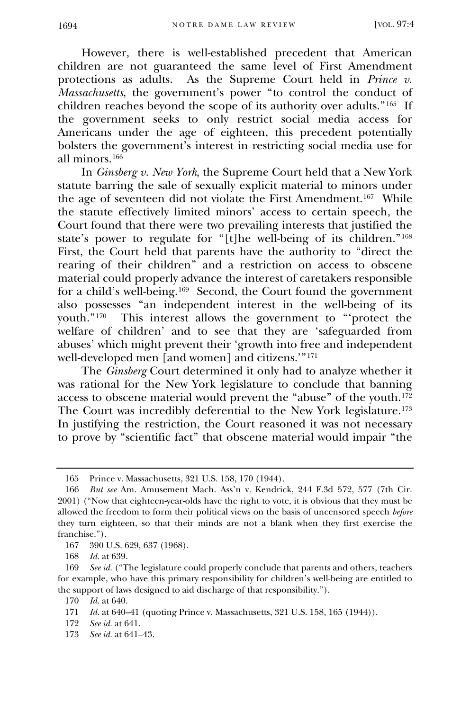However, there is well-established precedent that American children are not guaranteed the same level of First Amendment protections as adults. As the Supreme Court held in *Prince v. Massachusetts*, the government's power "to control the conduct of children reaches beyond the scope of its authority over adults."[165](#page-25-0) If the government seeks to only restrict social media access for Americans under the age of eighteen, this precedent potentially bolsters the government's interest in restricting social media use for all minors.[166](#page-25-1)

In *Ginsberg v. New York*, the Supreme Court held that a New York statute barring the sale of sexually explicit material to minors under the age of seventeen did not violate the First Amendment.[167](#page-25-2) While the statute effectively limited minors' access to certain speech, the Court found that there were two prevailing interests that justified the state's power to regulate for "[t]he well-being of its children."<sup>[168](#page-25-3)</sup> First, the Court held that parents have the authority to "direct the rearing of their children" and a restriction on access to obscene material could properly advance the interest of caretakers responsible for a child's well-being.[169](#page-25-4) Second, the Court found the government also possesses "an independent interest in the well-being of its youth."[170](#page-25-5) This interest allows the government to "'protect the welfare of children' and to see that they are 'safeguarded from abuses' which might prevent their 'growth into free and independent well-developed men [and women] and citizens.'"[171](#page-25-6)

The *Ginsberg* Court determined it only had to analyze whether it was rational for the New York legislature to conclude that banning access to obscene material would prevent the "abuse" of the youth.<sup>[172](#page-25-7)</sup> The Court was incredibly deferential to the New York legislature.[173](#page-25-8) In justifying the restriction, the Court reasoned it was not necessary to prove by "scientific fact" that obscene material would impair "the

<sup>165</sup> Prince v. Massachusetts, 321 U.S. 158, 170 (1944).

<span id="page-26-1"></span><span id="page-26-0"></span><sup>166</sup> *But see* Am. Amusement Mach. Ass'n v. Kendrick, 244 F.3d 572, 577 (7th Cir. 2001) ("Now that eighteen-year-olds have the right to vote, it is obvious that they must be allowed the freedom to form their political views on the basis of uncensored speech *before* they turn eighteen, so that their minds are not a blank when they first exercise the franchise.").

<sup>167</sup> 390 U.S. 629, 637 (1968).

<sup>168</sup> *Id.* at 639.

<span id="page-26-6"></span><span id="page-26-5"></span><span id="page-26-4"></span><span id="page-26-3"></span><span id="page-26-2"></span><sup>169</sup> *See id.* ("The legislature could properly conclude that parents and others, teachers for example, who have this primary responsibility for children's well-being are entitled to the support of laws designed to aid discharge of that responsibility.").

<sup>170</sup> *Id.* at 640.

<sup>171</sup> *Id.* at 640–41 (quoting Prince v. Massachusetts, 321 U.S. 158, 165 (1944)).

<sup>172</sup> *See id.* at 641.

<span id="page-26-9"></span><span id="page-26-8"></span><span id="page-26-7"></span><sup>173</sup> *See id.* at 641–43.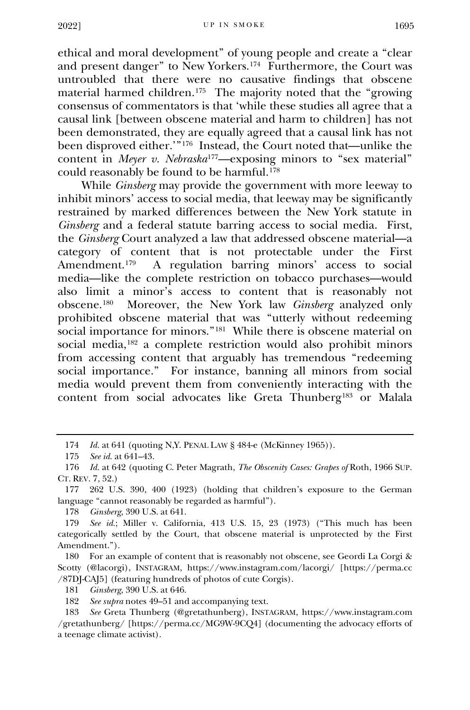$2022$ ] UP IN SMOKE 1695

ethical and moral development" of young people and create a "clear and present danger" to New Yorkers.<sup>[174](#page-26-0)</sup> Furthermore, the Court was untroubled that there were no causative findings that obscene material harmed children.[175](#page-26-1) The majority noted that the "growing consensus of commentators is that 'while these studies all agree that a causal link [between obscene material and harm to children] has not been demonstrated, they are equally agreed that a causal link has not been disproved either.'["176](#page-26-2) Instead, the Court noted that—unlike the content in *Meyer v. Nebraska*[177—](#page-26-3)exposing minors to "sex material" could reasonably be found to be harmful.[178](#page-26-4)

While *Ginsberg* may provide the government with more leeway to inhibit minors' access to social media, that leeway may be significantly restrained by marked differences between the New York statute in *Ginsberg* and a federal statute barring access to social media. First, the *Ginsberg* Court analyzed a law that addressed obscene material—a category of content that is not protectable under the First Amendment.[179](#page-26-5) A regulation barring minors' access to social media—like the complete restriction on tobacco purchases—would also limit a minor's access to content that is reasonably not obscene.[180](#page-26-6) Moreover, the New York law *Ginsberg* analyzed only prohibited obscene material that was "utterly without redeeming social importance for minors."<sup>181</sup> While there is obscene material on social media,<sup>[182](#page-26-8)</sup> a complete restriction would also prohibit minors from accessing content that arguably has tremendous "redeeming social importance." For instance, banning all minors from social media would prevent them from conveniently interacting with the content from social advocates like Greta Thunberg<sup>[183](#page-26-9)</sup> or Malala

<sup>174</sup> *Id.* at 641 (quoting N,Y. PENAL LAW § 484-e (McKinney 1965)).

<sup>175</sup> *See id.* at 641–43.

<span id="page-27-1"></span><span id="page-27-0"></span><sup>176</sup> *Id.* at 642 (quoting C. Peter Magrath, *The Obscenity Cases: Grapes of* Roth, 1966 SUP. CT. REV. 7, 52.)

<span id="page-27-2"></span><sup>177</sup> 262 U.S. 390, 400 (1923) (holding that children's exposure to the German language "cannot reasonably be regarded as harmful").

<sup>178</sup> *Ginsberg*, 390 U.S. at 641.

<span id="page-27-3"></span><sup>179</sup> *See id.*; Miller v. California, 413 U.S. 15, 23 (1973) ("This much has been categorically settled by the Court, that obscene material is unprotected by the First Amendment.").

<sup>180</sup> For an example of content that is reasonably not obscene, see Geordi La Corgi & Scotty (@lacorgi), INSTAGRAM, https://www.instagram.com/lacorgi/ [https://perma.cc /87DJ-CAJ5] (featuring hundreds of photos of cute Corgis).

<sup>181</sup> *Ginsberg*, 390 U.S. at 646.

<sup>182</sup> *See supra* notes 49–51 and accompanying text.

<span id="page-27-7"></span><span id="page-27-6"></span><span id="page-27-5"></span><span id="page-27-4"></span><sup>183</sup> *See* Greta Thunberg (@gretathunberg), INSTAGRAM, https://www.instagram.com /gretathunberg/ [https://perma.cc/MG9W-9CQ4] (documenting the advocacy efforts of a teenage climate activist).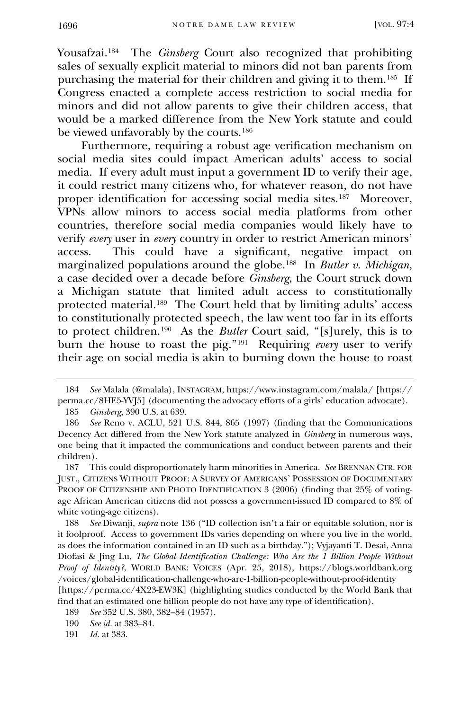Yousafzai.[184](#page-27-0) The *Ginsberg* Court also recognized that prohibiting sales of sexually explicit material to minors did not ban parents from purchasing the material for their children and giving it to them.[185](#page-27-1) If Congress enacted a complete access restriction to social media for minors and did not allow parents to give their children access, that would be a marked difference from the New York statute and could be viewed unfavorably by the courts.[186](#page-27-2)

Furthermore, requiring a robust age verification mechanism on social media sites could impact American adults' access to social media. If every adult must input a government ID to verify their age, it could restrict many citizens who, for whatever reason, do not have proper identification for accessing social media sites.[187](#page-27-3) Moreover, VPNs allow minors to access social media platforms from other countries, therefore social media companies would likely have to verify *every* user in *every* country in order to restrict American minors' access. This could have a significant, negative impact on marginalized populations around the globe.[188](#page-27-4) In *Butler v. Michigan*, a case decided over a decade before *Ginsberg*, the Court struck down a Michigan statute that limited adult access to constitutionally protected material[.189](#page-27-5) The Court held that by limiting adults' access to constitutionally protected speech, the law went too far in its efforts to protect children[.190](#page-27-6) As the *Butler* Court said, "[s]urely, this is to burn the house to roast the pig."[191](#page-27-7) Requiring *every* user to verify their age on social media is akin to burning down the house to roast

185 *Ginsberg*, 390 U.S. at 639.

<span id="page-28-5"></span><span id="page-28-4"></span><span id="page-28-3"></span>[https://perma.cc/4X23-EW3K] (highlighting studies conducted by the World Bank that find that an estimated one billion people do not have any type of identification).

190 *See id.* at 383–84.

191 *Id.* at 383.

<sup>184</sup> *See* Malala (@malala), INSTAGRAM, https://www.instagram.com/malala/ [https:// perma.cc/8HE5-YVJ5] (documenting the advocacy efforts of a girls' education advocate).

<sup>186</sup> *See* Reno v. ACLU, 521 U.S. 844, 865 (1997) (finding that the Communications Decency Act differed from the New York statute analyzed in *Ginsberg* in numerous ways, one being that it impacted the communications and conduct between parents and their children).

<span id="page-28-0"></span><sup>187</sup> This could disproportionately harm minorities in America. *See* BRENNAN CTR. FOR JUST., CITIZENS WITHOUT PROOF: A SURVEY OF AMERICANS' POSSESSION OF DOCUMENTARY PROOF OF CITIZENSHIP AND PHOTO IDENTIFICATION 3 (2006) (finding that 25% of votingage African American citizens did not possess a government-issued ID compared to 8% of white voting-age citizens).

<span id="page-28-2"></span><span id="page-28-1"></span><sup>188</sup> *See* Diwanji, *supra* note 136 ("ID collection isn't a fair or equitable solution, nor is it foolproof. Access to government IDs varies depending on where you live in the world, as does the information contained in an ID such as a birthday."); Vyjayanti T. Desai, Anna Diofasi & Jing Lu, *The Global Identification Challenge: Who Are the 1 Billion People Without Proof of Identity?*, WORLD BANK: VOICES (Apr. 25, 2018), https://blogs.worldbank.org /voices/global-identification-challenge-who-are-1-billion-people-without-proof-identity

<sup>189</sup> *See* 352 U.S. 380, 382–84 (1957).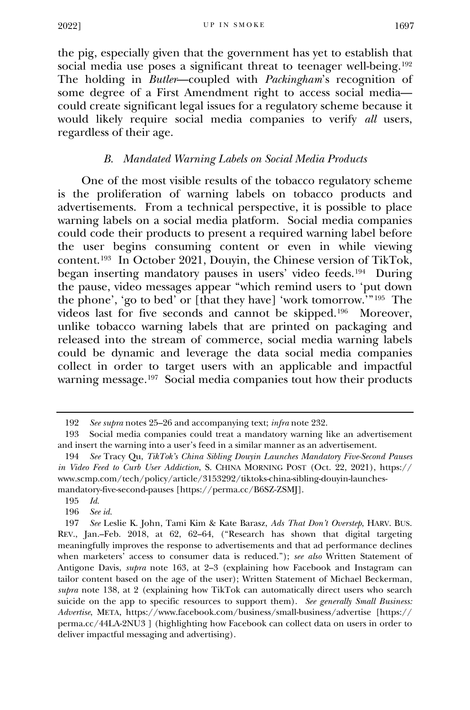$2022$ ] UP IN SMOKE 1697

the pig, especially given that the government has yet to establish that social media use poses a significant threat to teenager well-being.<sup>[192](#page-28-0)</sup> The holding in *Butler*—coupled with *Packingham*'s recognition of some degree of a First Amendment right to access social media could create significant legal issues for a regulatory scheme because it would likely require social media companies to verify *all* users, regardless of their age.

# *B. Mandated Warning Labels on Social Media Products*

One of the most visible results of the tobacco regulatory scheme is the proliferation of warning labels on tobacco products and advertisements. From a technical perspective, it is possible to place warning labels on a social media platform. Social media companies could code their products to present a required warning label before the user begins consuming content or even in while viewing content.[193](#page-28-1) In October 2021, Douyin, the Chinese version of TikTok, began inserting mandatory pauses in users' video feeds.[194](#page-28-2) During the pause, video messages appear "which remind users to 'put down the phone', 'go to bed' or  $[\hat{that}$  they have 'work tomorrow.'"<sup>195</sup> The videos last for five seconds and cannot be skipped.[196](#page-28-4) Moreover, unlike tobacco warning labels that are printed on packaging and released into the stream of commerce, social media warning labels could be dynamic and leverage the data social media companies collect in order to target users with an applicable and impactful warning message.[197](#page-28-5) Social media companies tout how their products

<sup>192</sup> *See supra* notes 25–26 and accompanying text; *infra* note 232.

<span id="page-29-0"></span><sup>193</sup> Social media companies could treat a mandatory warning like an advertisement and insert the warning into a user's feed in a similar manner as an advertisement.

<sup>194</sup> *See* Tracy Qu, *TikTok's China Sibling Douyin Launches Mandatory Five-Second Pauses in Video Feed to Curb User Addiction*, S. CHINA MORNING POST (Oct. 22, 2021), https:// www.scmp.com/tech/policy/article/3153292/tiktoks-china-sibling-douyin-launchesmandatory-five-second-pauses [https://perma.cc/B6SZ-ZSMJ].

<sup>195</sup> *Id.*

<sup>196</sup> *See id.*

<span id="page-29-5"></span><span id="page-29-4"></span><span id="page-29-3"></span><span id="page-29-2"></span><span id="page-29-1"></span><sup>197</sup> *See* Leslie K. John, Tami Kim & Kate Barasz, *Ads That Don't Overstep*, HARV. BUS. REV., Jan.–Feb. 2018, at 62, 62–64, ("Research has shown that digital targeting meaningfully improves the response to advertisements and that ad performance declines when marketers' access to consumer data is reduced."); *see also* Written Statement of Antigone Davis, *supra* note 163, at 2–3 (explaining how Facebook and Instagram can tailor content based on the age of the user); Written Statement of Michael Beckerman, *supra* note 138, at 2 (explaining how TikTok can automatically direct users who search suicide on the app to specific resources to support them). *See generally Small Business: Advertise*, META, https://www.facebook.com/business/small-business/advertise [https:// perma.cc/44LA-2NU3 ] (highlighting how Facebook can collect data on users in order to deliver impactful messaging and advertising).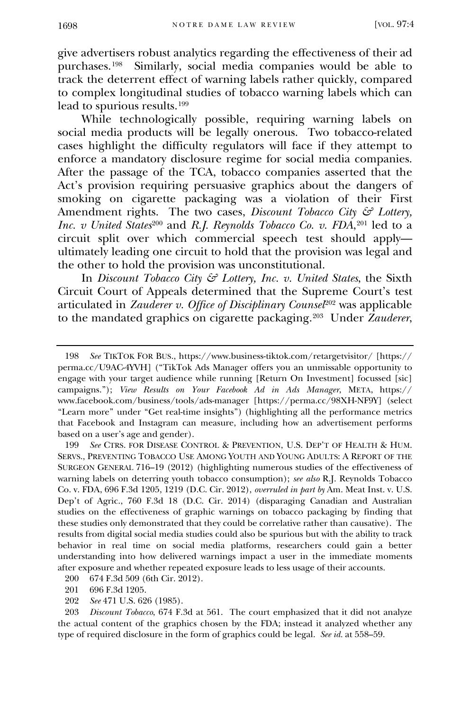give advertisers robust analytics regarding the effectiveness of their ad purchases.[198](#page-29-0) Similarly, social media companies would be able to track the deterrent effect of warning labels rather quickly, compared to complex longitudinal studies of tobacco warning labels which can lead to spurious results.[199](#page-29-1)

While technologically possible, requiring warning labels on social media products will be legally onerous. Two tobacco-related cases highlight the difficulty regulators will face if they attempt to enforce a mandatory disclosure regime for social media companies. After the passage of the TCA, tobacco companies asserted that the Act's provision requiring persuasive graphics about the dangers of smoking on cigarette packaging was a violation of their First Amendment rights. The two cases, *Discount Tobacco City & Lottery*, *Inc. v United States*<sup>[200](#page-29-2)</sup> and *R.J. Reynolds Tobacco Co. v. FDA*,<sup>[201](#page-29-3)</sup> led to a circuit split over which commercial speech test should apply ultimately leading one circuit to hold that the provision was legal and the other to hold the provision was unconstitutional.

In *Discount Tobacco City & Lottery, Inc. v. United States*, the Sixth Circuit Court of Appeals determined that the Supreme Court's test articulated in *Zauderer v. Office of Disciplinary Counsel*[202](#page-29-4) was applicable to the mandated graphics on cigarette packaging.[203](#page-29-5) Under *Zauderer*,

199 *See* CTRS. FOR DISEASE CONTROL & PREVENTION, U.S. DEP'T OF HEALTH & HUM. SERVS., PREVENTING TOBACCO USE AMONG YOUTH AND YOUNG ADULTS: A REPORT OF THE SURGEON GENERAL 716–19 (2012) (highlighting numerous studies of the effectiveness of warning labels on deterring youth tobacco consumption); *see also* R.J. Reynolds Tobacco Co. v. FDA, 696 F.3d 1205, 1219 (D.C. Cir. 2012), *overruled in part by* Am. Meat Inst. v. U.S. Dep't of Agric., 760 F.3d 18 (D.C. Cir. 2014) (disparaging Canadian and Australian studies on the effectiveness of graphic warnings on tobacco packaging by finding that these studies only demonstrated that they could be correlative rather than causative). The results from digital social media studies could also be spurious but with the ability to track behavior in real time on social media platforms, researchers could gain a better understanding into how delivered warnings impact a user in the immediate moments after exposure and whether repeated exposure leads to less usage of their accounts.

200 674 F.3d 509 (6th Cir. 2012).

201 696 F.3d 1205.

202 *See* 471 U.S. 626 (1985).

<span id="page-30-9"></span><span id="page-30-8"></span><span id="page-30-7"></span><span id="page-30-6"></span><span id="page-30-5"></span><span id="page-30-4"></span><span id="page-30-3"></span><span id="page-30-2"></span><span id="page-30-1"></span><span id="page-30-0"></span>203 *Discount Tobacco*, 674 F.3d at 561. The court emphasized that it did not analyze the actual content of the graphics chosen by the FDA; instead it analyzed whether any type of required disclosure in the form of graphics could be legal. *See id.* at 558–59.

<sup>198</sup> *See* TIKTOK FOR BUS., https://www.business-tiktok.com/retargetvisitor/ [https:// perma.cc/U9AC-4YVH] ("TikTok Ads Manager offers you an unmissable opportunity to engage with your target audience while running [Return On Investment] focussed [sic] campaigns."); *View Results on Your Facebook Ad in Ads Manager*, META, https:// www.facebook.com/business/tools/ads-manager [https://perma.cc/98XH-NF9Y] (select "Learn more" under "Get real-time insights") (highlighting all the performance metrics that Facebook and Instagram can measure, including how an advertisement performs based on a user's age and gender).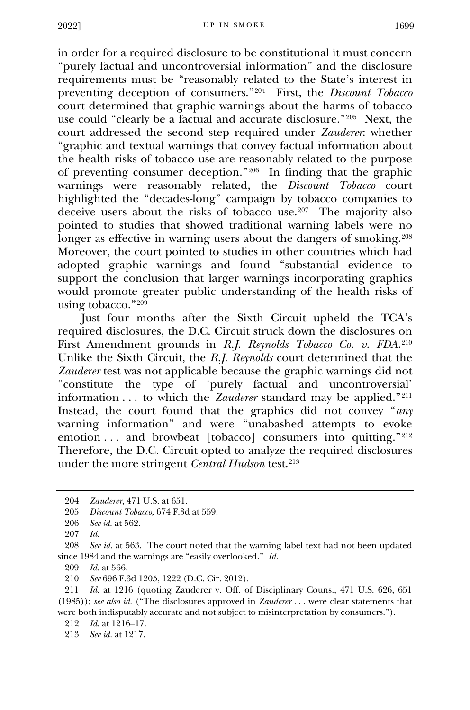in order for a required disclosure to be constitutional it must concern "purely factual and uncontroversial information" and the disclosure requirements must be "reasonably related to the State's interest in preventing deception of consumers."[204](#page-30-0) First, the *Discount Tobacco*  court determined that graphic warnings about the harms of tobacco use could "clearly be a factual and accurate disclosure."[205](#page-30-1) Next, the court addressed the second step required under *Zauderer*: whether "graphic and textual warnings that convey factual information about the health risks of tobacco use are reasonably related to the purpose of preventing consumer deception."[206](#page-30-2) In finding that the graphic warnings were reasonably related, the *Discount Tobacco* court highlighted the "decades-long" campaign by tobacco companies to deceive users about the risks of tobacco use.[207](#page-30-3) The majority also pointed to studies that showed traditional warning labels were no longer as effective in warning users about the dangers of smoking.<sup>[208](#page-30-4)</sup> Moreover, the court pointed to studies in other countries which had adopted graphic warnings and found "substantial evidence to support the conclusion that larger warnings incorporating graphics would promote greater public understanding of the health risks of using tobacco."[209](#page-30-5)

Just four months after the Sixth Circuit upheld the TCA's required disclosures, the D.C. Circuit struck down the disclosures on First Amendment grounds in *R.J. Reynolds Tobacco Co. v. FDA*.[210](#page-30-6) Unlike the Sixth Circuit, the *R.J. Reynolds* court determined that the *Zauderer* test was not applicable because the graphic warnings did not "constitute the type of 'purely factual and uncontroversial' information . . . to which the *Zauderer* standard may be applied."[211](#page-30-7) Instead, the court found that the graphics did not convey "*any* warning information" and were "unabashed attempts to evoke emotion  $\ldots$  and browbeat [tobacco] consumers into quitting."<sup>[212](#page-30-8)</sup> Therefore, the D.C. Circuit opted to analyze the required disclosures under the more stringent *Central Hudson* test.[213](#page-30-9)

<sup>204</sup> *Zauderer*, 471 U.S. at 651.

<sup>205</sup> *Discount Tobacco*, 674 F.3d at 559.

<sup>206</sup> *See id.* at 562.

<sup>207</sup> *Id.*

<span id="page-31-6"></span><span id="page-31-5"></span><span id="page-31-4"></span><span id="page-31-3"></span><span id="page-31-2"></span><span id="page-31-1"></span><span id="page-31-0"></span><sup>208</sup> *See id.* at 563. The court noted that the warning label text had not been updated since 1984 and the warnings are "easily overlooked." *Id.*

<sup>209</sup> *Id.* at 566.

<sup>210</sup> *See* 696 F.3d 1205, 1222 (D.C. Cir. 2012).

<span id="page-31-11"></span><span id="page-31-10"></span><span id="page-31-9"></span><span id="page-31-8"></span><span id="page-31-7"></span><sup>211</sup> *Id.* at 1216 (quoting Zauderer v. Off. of Disciplinary Couns., 471 U.S. 626, 651 (1985)); *see also id.* ("The disclosures approved in *Zauderer* . . . were clear statements that were both indisputably accurate and not subject to misinterpretation by consumers.").

<sup>212</sup> *Id.* at 1216–17.

<span id="page-31-12"></span><sup>213</sup> *See id.* at 1217.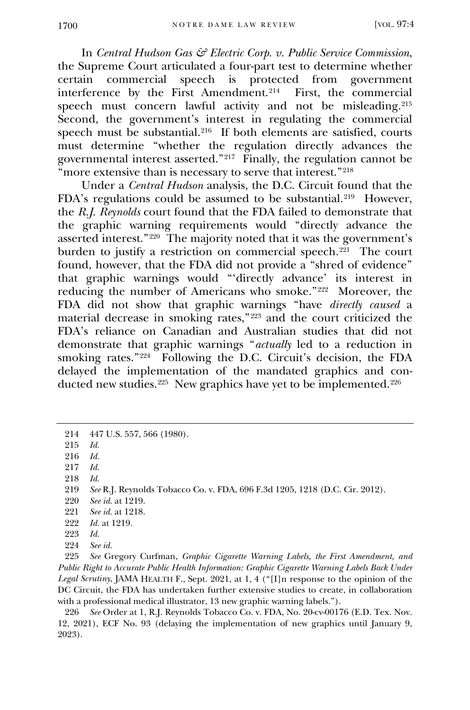In *Central Hudson Gas & Electric Corp. v. Public Service Commission*, the Supreme Court articulated a four-part test to determine whether certain commercial speech is protected from government interference by the First Amendment.[214](#page-31-0) First, the commercial speech must concern lawful activity and not be misleading.<sup>[215](#page-31-1)</sup> Second, the government's interest in regulating the commercial speech must be substantial.<sup>[216](#page-31-2)</sup> If both elements are satisfied, courts must determine "whether the regulation directly advances the governmental interest asserted."[217](#page-31-3) Finally, the regulation cannot be "more extensive than is necessary to serve that interest."[218](#page-31-4)

Under a *Central Hudson* analysis, the D.C. Circuit found that the FDA's regulations could be assumed to be substantial.<sup>[219](#page-31-5)</sup> However, the *R.J. Reynolds* court found that the FDA failed to demonstrate that the graphic warning requirements would "directly advance the asserted interest."[220](#page-31-6) The majority noted that it was the government's burden to justify a restriction on commercial speech.<sup>221</sup> The court found, however, that the FDA did not provide a "shred of evidence" that graphic warnings would "'directly advance' its interest in reducing the number of Americans who smoke."[222](#page-31-8) Moreover, the FDA did not show that graphic warnings "have *directly caused* a material decrease in smoking rates,"[223](#page-31-9) and the court criticized the FDA's reliance on Canadian and Australian studies that did not demonstrate that graphic warnings "*actually* led to a reduction in smoking rates."<sup>224</sup> Following the D.C. Circuit's decision, the FDA delayed the implementation of the mandated graphics and conducted new studies.[225](#page-31-11) New graphics have yet to be implemented.[226](#page-31-12)

<span id="page-32-9"></span><span id="page-32-8"></span><span id="page-32-7"></span><span id="page-32-6"></span><span id="page-32-5"></span>226 *See* Order at 1, R.J. Reynolds Tobacco Co. v. FDA, No. 20-cv-00176 (E.D. Tex. Nov. 12, 2021), ECF No. 93 (delaying the implementation of new graphics until January 9, 2023).

<sup>214</sup> 447 U.S. 557, 566 (1980).

<sup>215</sup> *Id.*

<sup>216</sup> *Id.*

<sup>217</sup> *Id.*

<sup>218</sup> *Id.*

<sup>219</sup> *See* R.J. Reynolds Tobacco Co. v. FDA, 696 F.3d 1205, 1218 (D.C. Cir. 2012).

<sup>220</sup> *See id.* at 1219.

<sup>221</sup> *See id.* at 1218.

<sup>222</sup> *Id.* at 1219.

<sup>223</sup> *Id.*

<sup>224</sup> *See id.*

<span id="page-32-4"></span><span id="page-32-3"></span><span id="page-32-2"></span><span id="page-32-1"></span><span id="page-32-0"></span><sup>225</sup> *See* Gregory Curfman, *Graphic Cigarette Warning Labels, the First Amendment, and Public Right to Accurate Public Health Information: Graphic Cigarette Warning Labels Back Under Legal Scrutiny*, JAMA HEALTH F., Sept. 2021, at 1, 4 ("[I]n response to the opinion of the DC Circuit, the FDA has undertaken further extensive studies to create, in collaboration with a professional medical illustrator, 13 new graphic warning labels.").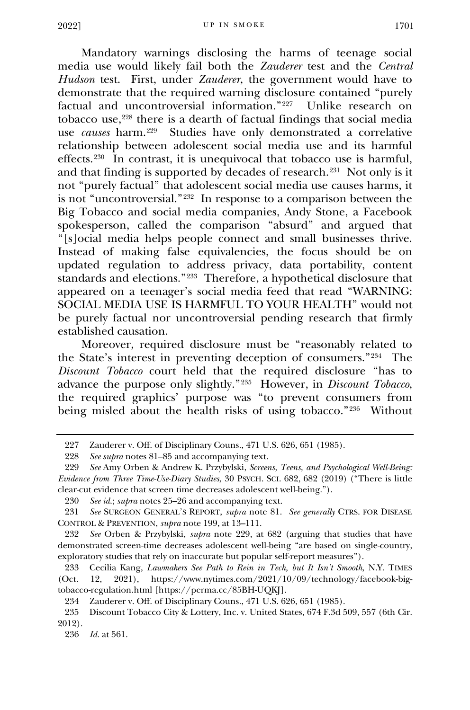Mandatory warnings disclosing the harms of teenage social media use would likely fail both the *Zauderer* test and the *Central Hudson* test. First, under *Zauderer*, the government would have to demonstrate that the required warning disclosure contained "purely factual and uncontroversial information."[227](#page-32-0) Unlike research on tobacco use,[228](#page-32-1) there is a dearth of factual findings that social media use *causes* harm.[229](#page-32-2) Studies have only demonstrated a correlative relationship between adolescent social media use and its harmful effects.[230](#page-32-3) In contrast, it is unequivocal that tobacco use is harmful, and that finding is supported by decades of research.[231](#page-32-4) Not only is it not "purely factual" that adolescent social media use causes harms, it is not "uncontroversial."[232](#page-32-5) In response to a comparison between the Big Tobacco and social media companies, Andy Stone, a Facebook spokesperson, called the comparison "absurd" and argued that "[s]ocial media helps people connect and small businesses thrive. Instead of making false equivalencies, the focus should be on updated regulation to address privacy, data portability, content standards and elections."[233](#page-32-6) Therefore, a hypothetical disclosure that appeared on a teenager's social media feed that read "WARNING: SOCIAL MEDIA USE IS HARMFUL TO YOUR HEALTH" would not be purely factual nor uncontroversial pending research that firmly established causation.

Moreover, required disclosure must be "reasonably related to the State's interest in preventing deception of consumers.["234](#page-32-7) The *Discount Tobacco* court held that the required disclosure "has to advance the purpose only slightly."[235](#page-32-8) However, in *Discount Tobacco*, the required graphics' purpose was "to prevent consumers from being misled about the health risks of using tobacco."<sup>[236](#page-32-9)</sup> Without

<sup>227</sup> Zauderer v. Off. of Disciplinary Couns., 471 U.S. 626, 651 (1985).

<sup>228</sup> *See supra* notes 81–85 and accompanying text.

<span id="page-33-0"></span><sup>229</sup> *See* Amy Orben & Andrew K. Przybylski, *Screens, Teens, and Psychological Well-Being: Evidence from Three Time-Use-Diary Studies*, 30 PSYCH. SCI. 682, 682 (2019) ("There is little clear-cut evidence that screen time decreases adolescent well-being.").

<sup>230</sup> *See id.*; *supra* notes 25–26 and accompanying text.

<sup>231</sup> *See* SURGEON GENERAL'S REPORT, *supra* note 81. *See generally* CTRS. FOR DISEASE CONTROL & PREVENTION, *supra* note 199, at 13–111.

<sup>232</sup> *See* Orben & Przybylski, *supra* note 229, at 682 (arguing that studies that have demonstrated screen-time decreases adolescent well-being "are based on single-country, exploratory studies that rely on inaccurate but popular self-report measures").

<sup>233</sup> Cecilia Kang, *Lawmakers See Path to Rein in Tech, but It Isn't Smooth*, N.Y. TIMES (Oct. 12, 2021), https://www.nytimes.com/2021/10/09/technology/facebook-bigtobacco-regulation.html [https://perma.cc/85BH-UQKJ].

<sup>234</sup> Zauderer v. Off. of Disciplinary Couns., 471 U.S. 626, 651 (1985).

<span id="page-33-4"></span><span id="page-33-3"></span><span id="page-33-2"></span><span id="page-33-1"></span><sup>235</sup> Discount Tobacco City & Lottery, Inc. v. United States, 674 F.3d 509, 557 (6th Cir. 2012).

<span id="page-33-5"></span><sup>236</sup> *Id.* at 561.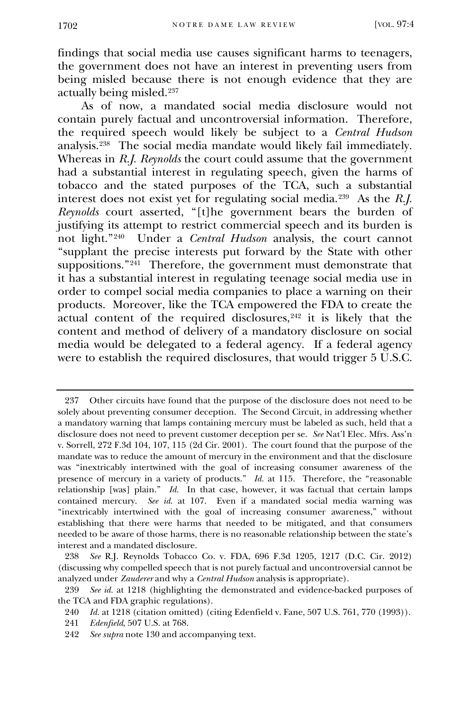findings that social media use causes significant harms to teenagers, the government does not have an interest in preventing users from being misled because there is not enough evidence that they are actually being misled.[237](#page-33-0)

As of now, a mandated social media disclosure would not contain purely factual and uncontroversial information. Therefore, the required speech would likely be subject to a *Central Hudson*  analysis.[238](#page-33-1) The social media mandate would likely fail immediately. Whereas in *R.J. Reynolds* the court could assume that the government had a substantial interest in regulating speech, given the harms of tobacco and the stated purposes of the TCA, such a substantial interest does not exist yet for regulating social media.[239](#page-33-2) As the *R.J. Reynolds* court asserted, "[t]he government bears the burden of justifying its attempt to restrict commercial speech and its burden is not light."[240](#page-33-3) Under a *Central Hudson* analysis, the court cannot "supplant the precise interests put forward by the State with other suppositions."<sup>241</sup> Therefore, the government must demonstrate that it has a substantial interest in regulating teenage social media use in order to compel social media companies to place a warning on their products. Moreover, like the TCA empowered the FDA to create the actual content of the required disclosures, $242$  it is likely that the content and method of delivery of a mandatory disclosure on social media would be delegated to a federal agency. If a federal agency were to establish the required disclosures, that would trigger 5 U.S.C.

<sup>237</sup> Other circuits have found that the purpose of the disclosure does not need to be solely about preventing consumer deception. The Second Circuit, in addressing whether a mandatory warning that lamps containing mercury must be labeled as such, held that a disclosure does not need to prevent customer deception per se. *See* Nat'l Elec. Mfrs. Ass'n v. Sorrell, 272 F.3d 104, 107, 115 (2d Cir. 2001). The court found that the purpose of the mandate was to reduce the amount of mercury in the environment and that the disclosure was "inextricably intertwined with the goal of increasing consumer awareness of the presence of mercury in a variety of products." *Id.* at 115. Therefore, the "reasonable relationship [was] plain." *Id.* In that case, however, it was factual that certain lamps contained mercury. *See id.* at 107. Even if a mandated social media warning was "inextricably intertwined with the goal of increasing consumer awareness," without establishing that there were harms that needed to be mitigated, and that consumers needed to be aware of those harms, there is no reasonable relationship between the state's interest and a mandated disclosure.

<sup>238</sup> *See* R.J. Reynolds Tobacco Co. v. FDA, 696 F.3d 1205, 1217 (D.C. Cir. 2012) (discussing why compelled speech that is not purely factual and uncontroversial cannot be analyzed under *Zauderer* and why a *Central Hudson* analysis is appropriate).

<span id="page-34-1"></span><span id="page-34-0"></span><sup>239</sup> *See id.* at 1218 (highlighting the demonstrated and evidence-backed purposes of the TCA and FDA graphic regulations).

<sup>240</sup> *Id.* at 1218 (citation omitted) (citing Edenfield v. Fane, 507 U.S. 761, 770 (1993)).

<sup>241</sup> *Edenfield*, 507 U.S. at 768.

<span id="page-34-4"></span><span id="page-34-3"></span><span id="page-34-2"></span><sup>242</sup> *See supra* note 130 and accompanying text.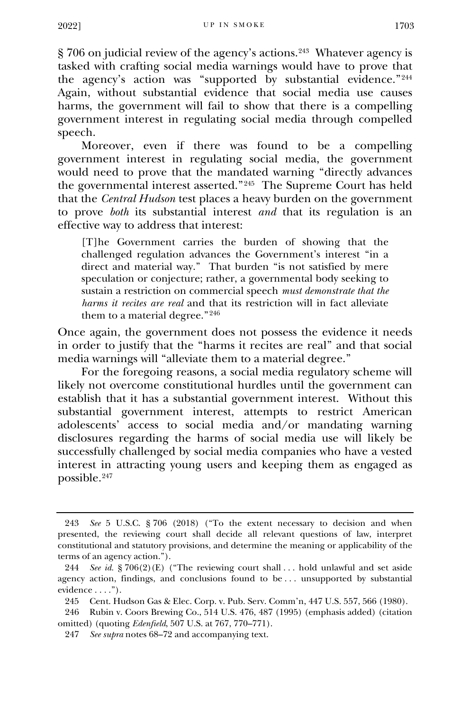§ 706 on judicial review of the agency's actions.[243](#page-34-0) Whatever agency is tasked with crafting social media warnings would have to prove that the agency's action was "supported by substantial evidence."<sup>[244](#page-34-1)</sup> Again, without substantial evidence that social media use causes harms, the government will fail to show that there is a compelling government interest in regulating social media through compelled

Moreover, even if there was found to be a compelling government interest in regulating social media, the government would need to prove that the mandated warning "directly advances the governmental interest asserted."[245](#page-34-2) The Supreme Court has held that the *Central Hudson* test places a heavy burden on the government to prove *both* its substantial interest *and* that its regulation is an effective way to address that interest:

[T]he Government carries the burden of showing that the challenged regulation advances the Government's interest "in a direct and material way." That burden "is not satisfied by mere speculation or conjecture; rather, a governmental body seeking to sustain a restriction on commercial speech *must demonstrate that the harms it recites are real* and that its restriction will in fact alleviate them to a material degree."<sup>[246](#page-34-3)</sup>

Once again, the government does not possess the evidence it needs in order to justify that the "harms it recites are real" and that social media warnings will "alleviate them to a material degree."

For the foregoing reasons, a social media regulatory scheme will likely not overcome constitutional hurdles until the government can establish that it has a substantial government interest. Without this substantial government interest, attempts to restrict American adolescents' access to social media and/or mandating warning disclosures regarding the harms of social media use will likely be successfully challenged by social media companies who have a vested interest in attracting young users and keeping them as engaged as possible.[247](#page-34-4)

speech.

<sup>243</sup> *See* 5 U.S.C. § 706 (2018) ("To the extent necessary to decision and when presented, the reviewing court shall decide all relevant questions of law, interpret constitutional and statutory provisions, and determine the meaning or applicability of the terms of an agency action.").

<span id="page-35-0"></span><sup>244</sup> *See id.* § 706(2)(E) ("The reviewing court shall . . . hold unlawful and set aside agency action, findings, and conclusions found to be . . . unsupported by substantial evidence . . . .").

<sup>245</sup> Cent. Hudson Gas & Elec. Corp. v. Pub. Serv. Comm'n, 447 U.S. 557, 566 (1980).

<span id="page-35-3"></span><span id="page-35-2"></span><span id="page-35-1"></span><sup>246</sup> Rubin v. Coors Brewing Co., 514 U.S. 476, 487 (1995) (emphasis added) (citation omitted) (quoting *Edenfield*, 507 U.S. at 767, 770–771).

<span id="page-35-4"></span><sup>247</sup> *See supra* notes 68–72 and accompanying text.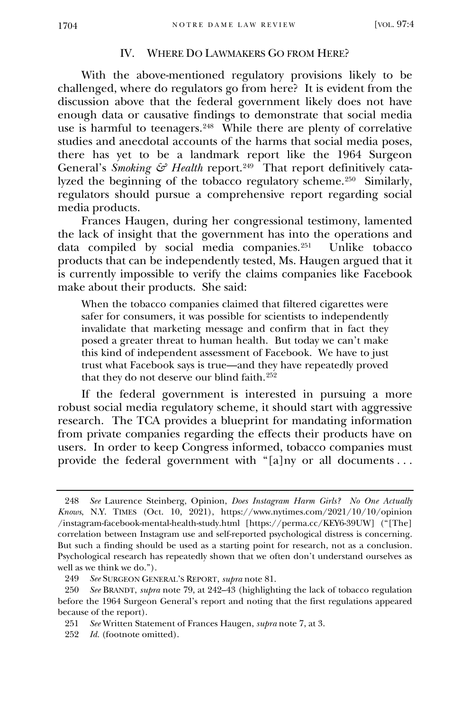### IV. WHERE DO LAWMAKERS GO FROM HERE?

With the above-mentioned regulatory provisions likely to be challenged, where do regulators go from here? It is evident from the discussion above that the federal government likely does not have enough data or causative findings to demonstrate that social media use is harmful to teenagers.<sup>[248](#page-35-0)</sup> While there are plenty of correlative studies and anecdotal accounts of the harms that social media poses, there has yet to be a landmark report like the 1964 Surgeon General's *Smoking & Health* report.<sup>249</sup> That report definitively catalyzed the beginning of the tobacco regulatory scheme.[250](#page-35-2) Similarly, regulators should pursue a comprehensive report regarding social media products.

Frances Haugen, during her congressional testimony, lamented the lack of insight that the government has into the operations and data compiled by social media companies.[251](#page-35-3) Unlike tobacco products that can be independently tested, Ms. Haugen argued that it is currently impossible to verify the claims companies like Facebook make about their products. She said:

When the tobacco companies claimed that filtered cigarettes were safer for consumers, it was possible for scientists to independently invalidate that marketing message and confirm that in fact they posed a greater threat to human health. But today we can't make this kind of independent assessment of Facebook. We have to just trust what Facebook says is true—and they have repeatedly proved that they do not deserve our blind faith.[252](#page-35-4)

If the federal government is interested in pursuing a more robust social media regulatory scheme, it should start with aggressive research. The TCA provides a blueprint for mandating information from private companies regarding the effects their products have on users. In order to keep Congress informed, tobacco companies must provide the federal government with "[a]ny or all documents . . .

<sup>248</sup> *See* Laurence Steinberg, Opinion, *Does Instagram Harm Girls? No One Actually Knows*, N.Y. TIMES (Oct. 10, 2021), https://www.nytimes.com/2021/10/10/opinion /instagram-facebook-mental-health-study.html [https://perma.cc/KEY6-39UW] ("[The] correlation between Instagram use and self-reported psychological distress is concerning. But such a finding should be used as a starting point for research, not as a conclusion. Psychological research has repeatedly shown that we often don't understand ourselves as well as we think we do.").

<sup>249</sup> *See* SURGEON GENERAL'S REPORT, *supra* note 81.

<span id="page-36-5"></span><span id="page-36-4"></span><span id="page-36-3"></span><span id="page-36-2"></span><span id="page-36-1"></span><span id="page-36-0"></span><sup>250</sup> *See* BRANDT, *supra* note 79, at 242–43 (highlighting the lack of tobacco regulation before the 1964 Surgeon General's report and noting that the first regulations appeared because of the report).

<sup>251</sup> *See* Written Statement of Frances Haugen, *supra* note 7, at 3.

<sup>252</sup> *Id.* (footnote omitted).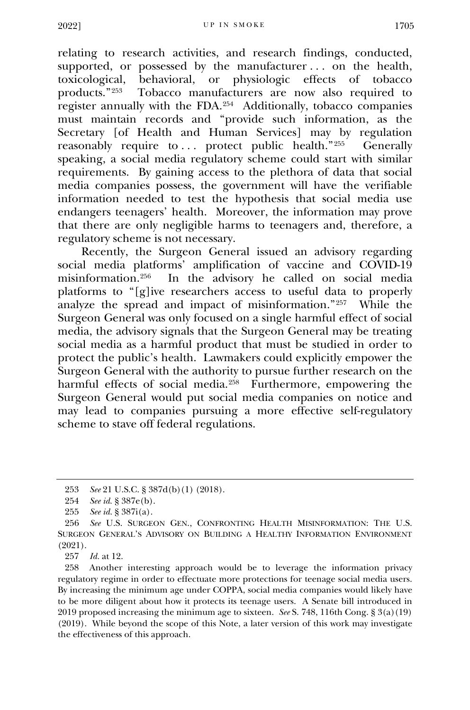relating to research activities, and research findings, conducted, supported, or possessed by the manufacturer ... on the health, toxicological, behavioral, or physiologic effects of tobacco<br>products."<sup>253</sup> Tobacco manufacturers are now also required to Tobacco manufacturers are now also required to register annually with the FDA.[254](#page-36-1) Additionally, tobacco companies must maintain records and "provide such information, as the Secretary [of Health and Human Services] may by regulation reasonably require to ... protect public health. $"^{255}$  Generally speaking, a social media regulatory scheme could start with similar requirements. By gaining access to the plethora of data that social media companies possess, the government will have the verifiable information needed to test the hypothesis that social media use endangers teenagers' health. Moreover, the information may prove that there are only negligible harms to teenagers and, therefore, a regulatory scheme is not necessary.

Recently, the Surgeon General issued an advisory regarding social media platforms' amplification of vaccine and COVID-19 misinformation.[256](#page-36-3) In the advisory he called on social media platforms to "[g]ive researchers access to useful data to properly analyze the spread and impact of misinformation."[257](#page-36-4) While the Surgeon General was only focused on a single harmful effect of social media, the advisory signals that the Surgeon General may be treating social media as a harmful product that must be studied in order to protect the public's health. Lawmakers could explicitly empower the Surgeon General with the authority to pursue further research on the harmful effects of social media.<sup>[258](#page-36-5)</sup> Furthermore, empowering the Surgeon General would put social media companies on notice and may lead to companies pursuing a more effective self-regulatory scheme to stave off federal regulations.

257 *Id.* at 12.

258 Another interesting approach would be to leverage the information privacy regulatory regime in order to effectuate more protections for teenage social media users. By increasing the minimum age under COPPA, social media companies would likely have to be more diligent about how it protects its teenage users. A Senate bill introduced in 2019 proposed increasing the minimum age to sixteen. *See* S. 748, 116th Cong. § 3(a)(19) (2019). While beyond the scope of this Note, a later version of this work may investigate the effectiveness of this approach.

<sup>253</sup> *See* 21 U.S.C. § 387d(b)(1) (2018).

<sup>254</sup> *See id.* § 387e(b).

<sup>255</sup> *See id.* § 387i(a).

<sup>256</sup> *See* U.S. SURGEON GEN., CONFRONTING HEALTH MISINFORMATION: THE U.S. SURGEON GENERAL'S ADVISORY ON BUILDING A HEALTHY INFORMATION ENVIRONMENT (2021).